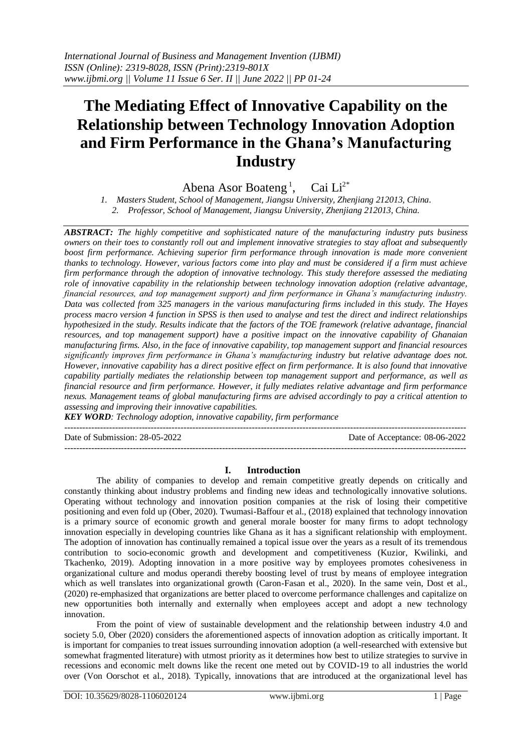## **The Mediating Effect of Innovative Capability on the Relationship between Technology Innovation Adoption and Firm Performance in the Ghana's Manufacturing Industry**

Abena Asor Boateng<sup>1</sup>, Cai Li<sup>2\*</sup>

*1. Masters Student, School of Management, Jiangsu University, Zhenjiang 212013, China. 2. Professor, School of Management, Jiangsu University, Zhenjiang 212013, China.*

*ABSTRACT: The highly competitive and sophisticated nature of the manufacturing industry puts business owners on their toes to constantly roll out and implement innovative strategies to stay afloat and subsequently boost firm performance. Achieving superior firm performance through innovation is made more convenient thanks to technology. However, various factors come into play and must be considered if a firm must achieve firm performance through the adoption of innovative technology. This study therefore assessed the mediating role of innovative capability in the relationship between technology innovation adoption (relative advantage, financial resources, and top management support) and firm performance in Ghana's manufacturing industry. Data was collected from 325 managers in the various manufacturing firms included in this study. The Hayes process macro version 4 function in SPSS is then used to analyse and test the direct and indirect relationships hypothesized in the study. Results indicate that the factors of the TOE framework (relative advantage, financial resources, and top management support) have a positive impact on the innovative capability of Ghanaian manufacturing firms. Also, in the face of innovative capability, top management support and financial resources significantly improves firm performance in Ghana's manufacturing industry but relative advantage does not. However, innovative capability has a direct positive effect on firm performance. It is also found that innovative capability partially mediates the relationship between top management support and performance, as well as financial resource and firm performance. However, it fully mediates relative advantage and firm performance nexus. Management teams of global manufacturing firms are advised accordingly to pay a critical attention to assessing and improving their innovative capabilities.*

*KEY WORD: Technology adoption, innovative capability, firm performance*

---------------------------------------------------------------------------------------------------------------------------------------

Date of Submission: 28-05-2022 Date of Acceptance: 08-06-2022

#### **I. Introduction**

---------------------------------------------------------------------------------------------------------------------------------------

The ability of companies to develop and remain competitive greatly depends on critically and constantly thinking about industry problems and finding new ideas and technologically innovative solutions. Operating without technology and innovation position companies at the risk of losing their competitive positioning and even fold up (Ober, 2020). Twumasi-Baffour et al., (2018) explained that technology innovation is a primary source of economic growth and general morale booster for many firms to adopt technology innovation especially in developing countries like Ghana as it has a significant relationship with employment. The adoption of innovation has continually remained a topical issue over the years as a result of its tremendous contribution to socio-economic growth and development and competitiveness (Kuzior, Kwilinki, and Tkachenko, 2019). Adopting innovation in a more positive way by employees promotes cohesiveness in organizational culture and modus operandi thereby boosting level of trust by means of employee integration which as well translates into organizational growth (Caron-Fasan et al., 2020). In the same vein, Dost et al., (2020) re-emphasized that organizations are better placed to overcome performance challenges and capitalize on new opportunities both internally and externally when employees accept and adopt a new technology innovation.

From the point of view of sustainable development and the relationship between industry 4.0 and society 5.0, Ober (2020) considers the aforementioned aspects of innovation adoption as critically important. It is important for companies to treat issues surrounding innovation adoption (a well-researched with extensive but somewhat fragmented literature) with utmost priority as it determines how best to utilize strategies to survive in recessions and economic melt downs like the recent one meted out by COVID-19 to all industries the world over (Von Oorschot et al., 2018). Typically, innovations that are introduced at the organizational level has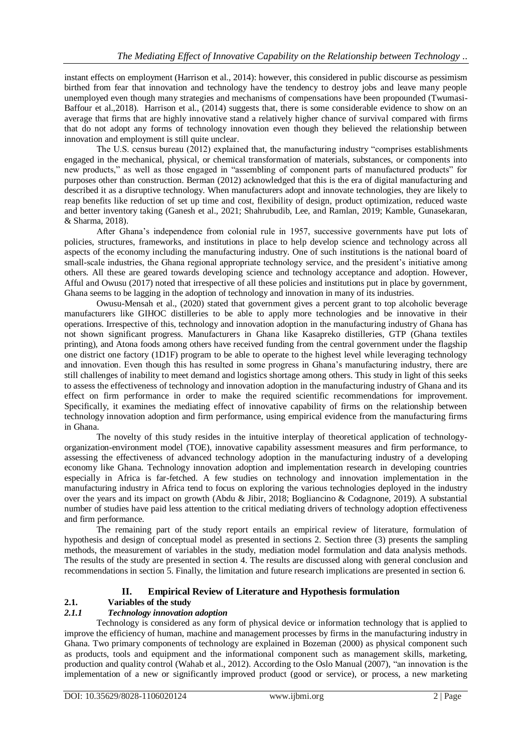instant effects on employment (Harrison et al., 2014): however, this considered in public discourse as pessimism birthed from fear that innovation and technology have the tendency to destroy jobs and leave many people unemployed even though many strategies and mechanisms of compensations have been propounded (Twumasi-Baffour et al.,2018). Harrison et al., (2014) suggests that, there is some considerable evidence to show on an average that firms that are highly innovative stand a relatively higher chance of survival compared with firms that do not adopt any forms of technology innovation even though they believed the relationship between innovation and employment is still quite unclear.

The U.S. census bureau (2012) explained that, the manufacturing industry "comprises establishments engaged in the mechanical, physical, or chemical transformation of materials, substances, or components into new products," as well as those engaged in "assembling of component parts of manufactured products" for purposes other than construction. Berman (2012) acknowledged that this is the era of digital manufacturing and described it as a disruptive technology. When manufacturers adopt and innovate technologies, they are likely to reap benefits like reduction of set up time and cost, flexibility of design, product optimization, reduced waste and better inventory taking (Ganesh et al., 2021; Shahrubudib, Lee, and Ramlan, 2019; Kamble, Gunasekaran, & Sharma, 2018).

After Ghana's independence from colonial rule in 1957, successive governments have put lots of policies, structures, frameworks, and institutions in place to help develop science and technology across all aspects of the economy including the manufacturing industry. One of such institutions is the national board of small-scale industries, the Ghana regional appropriate technology service, and the president's initiative among others. All these are geared towards developing science and technology acceptance and adoption. However, Afful and Owusu (2017) noted that irrespective of all these policies and institutions put in place by government, Ghana seems to be lagging in the adoption of technology and innovation in many of its industries.

Owusu-Mensah et al., (2020) stated that government gives a percent grant to top alcoholic beverage manufacturers like GIHOC distilleries to be able to apply more technologies and be innovative in their operations. Irrespective of this, technology and innovation adoption in the manufacturing industry of Ghana has not shown significant progress. Manufacturers in Ghana like Kasapreko distilleries, GTP (Ghana textiles printing), and Atona foods among others have received funding from the central government under the flagship one district one factory (1D1F) program to be able to operate to the highest level while leveraging technology and innovation. Even though this has resulted in some progress in Ghana's manufacturing industry, there are still challenges of inability to meet demand and logistics shortage among others. This study in light of this seeks to assess the effectiveness of technology and innovation adoption in the manufacturing industry of Ghana and its effect on firm performance in order to make the required scientific recommendations for improvement. Specifically, it examines the mediating effect of innovative capability of firms on the relationship between technology innovation adoption and firm performance, using empirical evidence from the manufacturing firms in Ghana.

The novelty of this study resides in the intuitive interplay of theoretical application of technologyorganization-environment model (TOE), innovative capability assessment measures and firm performance, to assessing the effectiveness of advanced technology adoption in the manufacturing industry of a developing economy like Ghana. Technology innovation adoption and implementation research in developing countries especially in Africa is far-fetched. A few studies on technology and innovation implementation in the manufacturing industry in Africa tend to focus on exploring the various technologies deployed in the industry over the years and its impact on growth (Abdu & Jibir, 2018; Bogliancino & Codagnone, 2019). A substantial number of studies have paid less attention to the critical mediating drivers of technology adoption effectiveness and firm performance.

The remaining part of the study report entails an empirical review of literature, formulation of hypothesis and design of conceptual model as presented in sections 2. Section three (3) presents the sampling methods, the measurement of variables in the study, mediation model formulation and data analysis methods. The results of the study are presented in section 4. The results are discussed along with general conclusion and recommendations in section 5. Finally, the limitation and future research implications are presented in section 6.

### **II. Empirical Review of Literature and Hypothesis formulation**

# **2.1.** Variables of the study<br> **2.1.1** Technology innovation

## *2.1.1 Technology innovation adoption*

Technology is considered as any form of physical device or information technology that is applied to improve the efficiency of human, machine and management processes by firms in the manufacturing industry in Ghana. Two primary components of technology are explained in Bozeman (2000) as physical component such as products, tools and equipment and the informational component such as management skills, marketing, production and quality control (Wahab et al., 2012). According to the Oslo Manual (2007), "an innovation is the implementation of a new or significantly improved product (good or service), or process, a new marketing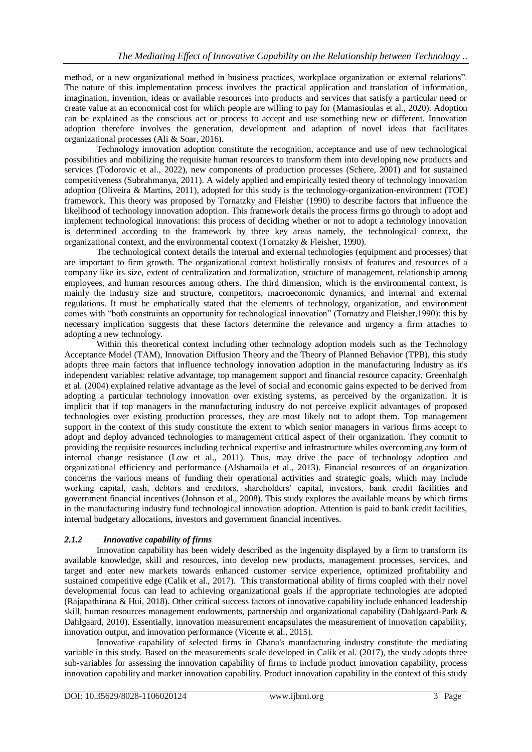method, or a new organizational method in business practices, workplace organization or external relations". The nature of this implementation process involves the practical application and translation of information, imagination, invention, ideas or available resources into products and services that satisfy a particular need or create value at an economical cost for which people are willing to pay for (Mamasioulas et al., 2020). Adoption can be explained as the conscious act or process to accept and use something new or different. Innovation adoption therefore involves the generation, development and adaption of novel ideas that facilitates organizational processes (Ali & Soar, 2016).

Technology innovation adoption constitute the recognition, acceptance and use of new technological possibilities and mobilizing the requisite human resources to transform them into developing new products and services (Todorovic et al., 2022), new components of production processes (Schere, 2001) and for sustained competitiveness (Subrahmanya, 2011). A widely applied and empirically tested theory of technology innovation adoption (Oliveira & Martins, 2011), adopted for this study is the technology-organization-environment (TOE) framework. This theory was proposed by Tornatzky and Fleisher (1990) to describe factors that influence the likelihood of technology innovation adoption. This framework details the process firms go through to adopt and implement technological innovations: this process of deciding whether or not to adopt a technology innovation is determined according to the framework by three key areas namely, the technological context, the organizational context, and the environmental context (Tornatzky & Fleisher, 1990).

The technological context details the internal and external technologies (equipment and processes) that are important to firm growth. The organizational context holistically consists of features and resources of a company like its size, extent of centralization and formalization, structure of management, relationship among employees, and human resources among others. The third dimension, which is the environmental context, is mainly the industry size and structure, competitors, macroeconomic dynamics, and internal and external regulations. It must be emphatically stated that the elements of technology, organization, and environment comes with "both constraints an opportunity for technological innovation" (Tornatzy and Fleisher,1990): this by necessary implication suggests that these factors determine the relevance and urgency a firm attaches to adopting a new technology.

Within this theoretical context including other technology adoption models such as the Technology Acceptance Model (TAM), Innovation Diffusion Theory and the Theory of Planned Behavior (TPB), this study adopts three main factors that influence technology innovation adoption in the manufacturing Industry as it's independent variables: relative advantage, top management support and financial resource capacity. Greenhalgh et al. (2004) explained relative advantage as the level of social and economic gains expected to be derived from adopting a particular technology innovation over existing systems, as perceived by the organization. It is implicit that if top managers in the manufacturing industry do not perceive explicit advantages of proposed technologies over existing production processes, they are most likely not to adopt them. Top management support in the context of this study constitute the extent to which senior managers in various firms accept to adopt and deploy advanced technologies to management critical aspect of their organization. They commit to providing the requisite resources including technical expertise and infrastructure whiles overcoming any form of internal change resistance (Low et al., 2011). Thus, may drive the pace of technology adoption and organizational efficiency and performance (Alshamaila et al., 2013). Financial resources of an organization concerns the various means of funding their operational activities and strategic goals, which may include working capital, cash, debtors and creditors, shareholders' capital, investors, bank credit facilities and government financial incentives (Johnson et al., 2008). This study explores the available means by which firms in the manufacturing industry fund technological innovation adoption. Attention is paid to bank credit facilities, internal budgetary allocations, investors and government financial incentives.

#### *2.1.2 Innovative capability of firms*

Innovation capability has been widely described as the ingenuity displayed by a firm to transform its available knowledge, skill and resources, into develop new products, management processes, services, and target and enter new markets towards enhanced customer service experience, optimized profitability and sustained competitive edge (Calik et al., 2017). This transformational ability of firms coupled with their novel developmental focus can lead to achieving organizational goals if the appropriate technologies are adopted (Rajapathirana & Hui, 2018). Other critical success factors of innovative capability include enhanced leadership skill, human resources management endowments, partnership and organizational capability (Dahlgaard-Park & Dahlgaard, 2010). Essentially, innovation measurement encapsulates the measurement of innovation capability, innovation output, and innovation performance (Vicente et al., 2015).

Innovative capability of selected firms in Ghana's manufacturing industry constitute the mediating variable in this study. Based on the measurements scale developed in Calik et al. (2017), the study adopts three sub-variables for assessing the innovation capability of firms to include product innovation capability, process innovation capability and market innovation capability. Product innovation capability in the context of this study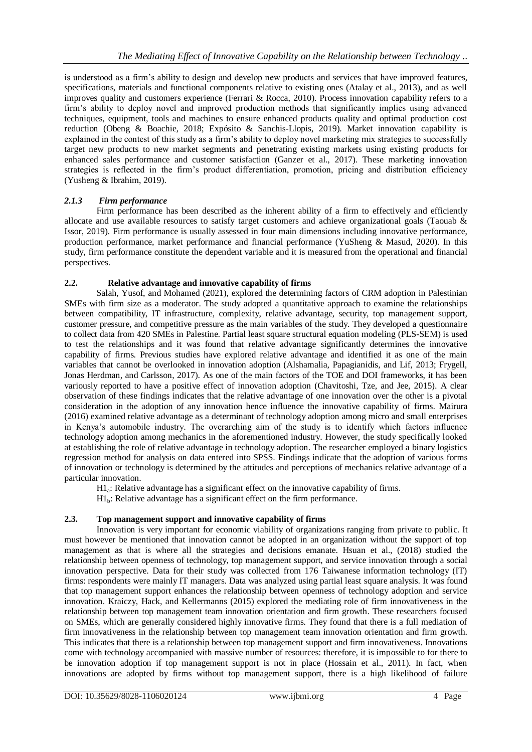is understood as a firm's ability to design and develop new products and services that have improved features, specifications, materials and functional components relative to existing ones (Atalay et al., 2013), and as well improves quality and customers experience (Ferrari & Rocca, 2010). Process innovation capability refers to a firm's ability to deploy novel and improved production methods that significantly implies using advanced techniques, equipment, tools and machines to ensure enhanced products quality and optimal production cost reduction (Obeng & Boachie, 2018; Expósito & Sanchis-Llopis, 2019). Market innovation capability is explained in the contest of this study as a firm's ability to deploy novel marketing mix strategies to successfully target new products to new market segments and penetrating existing markets using existing products for enhanced sales performance and customer satisfaction (Ganzer et al., 2017). These marketing innovation strategies is reflected in the firm's product differentiation, promotion, pricing and distribution efficiency (Yusheng & Ibrahim, 2019).

## *2.1.3 Firm performance*

Firm performance has been described as the inherent ability of a firm to effectively and efficiently allocate and use available resources to satisfy target customers and achieve organizational goals (Taouab & Issor, 2019). Firm performance is usually assessed in four main dimensions including innovative performance, production performance, market performance and financial performance (YuSheng & Masud, 2020). In this study, firm performance constitute the dependent variable and it is measured from the operational and financial perspectives.

#### **2.2. Relative advantage and innovative capability of firms**

Salah, Yusof, and Mohamed (2021), explored the determining factors of CRM adoption in Palestinian SMEs with firm size as a moderator. The study adopted a quantitative approach to examine the relationships between compatibility, IT infrastructure, complexity, relative advantage, security, top management support, customer pressure, and competitive pressure as the main variables of the study. They developed a questionnaire to collect data from 420 SMEs in Palestine. Partial least square structural equation modeling (PLS-SEM) is used to test the relationships and it was found that relative advantage significantly determines the innovative capability of firms. Previous studies have explored relative advantage and identified it as one of the main variables that cannot be overlooked in innovation adoption (Alshamalia, Papagianidis, and Lif, 2013; Frygell, Jonas Herdman, and Carlsson, 2017). As one of the main factors of the TOE and DOI frameworks, it has been variously reported to have a positive effect of innovation adoption (Chavitoshi, Tze, and Jee, 2015). A clear observation of these findings indicates that the relative advantage of one innovation over the other is a pivotal consideration in the adoption of any innovation hence influence the innovative capability of firms. Mairura (2016) examined relative advantage as a determinant of technology adoption among micro and small enterprises in Kenya's automobile industry. The overarching aim of the study is to identify which factors influence technology adoption among mechanics in the aforementioned industry. However, the study specifically looked at establishing the role of relative advantage in technology adoption. The researcher employed a binary logistics regression method for analysis on data entered into SPSS. Findings indicate that the adoption of various forms of innovation or technology is determined by the attitudes and perceptions of mechanics relative advantage of a particular innovation.

H1<sub>a</sub>: Relative advantage has a significant effect on the innovative capability of firms.

 $H1<sub>b</sub>$ : Relative advantage has a significant effect on the firm performance.

#### **2.3. Top management support and innovative capability of firms**

Innovation is very important for economic viability of organizations ranging from private to public. It must however be mentioned that innovation cannot be adopted in an organization without the support of top management as that is where all the strategies and decisions emanate. Hsuan et al., (2018) studied the relationship between openness of technology, top management support, and service innovation through a social innovation perspective. Data for their study was collected from 176 Taiwanese information technology (IT) firms: respondents were mainly IT managers. Data was analyzed using partial least square analysis. It was found that top management support enhances the relationship between openness of technology adoption and service innovation. Kraiczy, Hack, and Kellermanns (2015) explored the mediating role of firm innovativeness in the relationship between top management team innovation orientation and firm growth. These researchers focused on SMEs, which are generally considered highly innovative firms. They found that there is a full mediation of firm innovativeness in the relationship between top management team innovation orientation and firm growth. This indicates that there is a relationship between top management support and firm innovativeness. Innovations come with technology accompanied with massive number of resources: therefore, it is impossible to for there to be innovation adoption if top management support is not in place (Hossain et al., 2011). In fact, when innovations are adopted by firms without top management support, there is a high likelihood of failure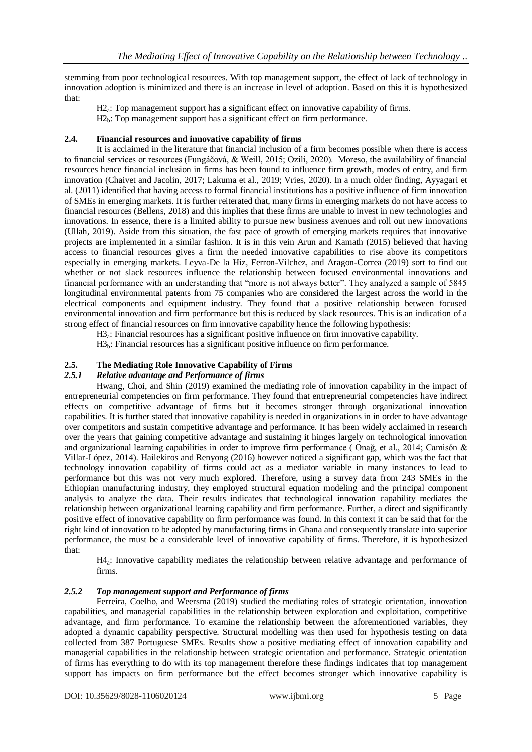stemming from poor technological resources. With top management support, the effect of lack of technology in innovation adoption is minimized and there is an increase in level of adoption. Based on this it is hypothesized that:

H<sub>2a</sub>: Top management support has a significant effect on innovative capability of firms.

H<sub>2b</sub>: Top management support has a significant effect on firm performance.

## **2.4. Financial resources and innovative capability of firms**

It is acclaimed in the literature that financial inclusion of a firm becomes possible when there is access to financial services or resources (Fungáčová, & Weill, 2015; Ozili, 2020). Moreso, the availability of financial resources hence financial inclusion in firms has been found to influence firm growth, modes of entry, and firm innovation (Chaivet and Jacolin, 2017; Lakuma et al., 2019; Vries, 2020). In a much older finding, Ayyagari et al. (2011) identified that having access to formal financial institutions has a positive influence of firm innovation of SMEs in emerging markets. It is further reiterated that, many firms in emerging markets do not have access to financial resources (Bellens, 2018) and this implies that these firms are unable to invest in new technologies and innovations. In essence, there is a limited ability to pursue new business avenues and roll out new innovations (Ullah, 2019). Aside from this situation, the fast pace of growth of emerging markets requires that innovative projects are implemented in a similar fashion. It is in this vein Arun and Kamath (2015) believed that having access to financial resources gives a firm the needed innovative capabilities to rise above its competitors especially in emerging markets. Leyva-De la Hiz, Ferron-Vilchez, and Aragon-Correa (2019) sort to find out whether or not slack resources influence the relationship between focused environmental innovations and financial performance with an understanding that "more is not always better". They analyzed a sample of 5845 longitudinal environmental patents from 75 companies who are considered the largest across the world in the electrical components and equipment industry. They found that a positive relationship between focused environmental innovation and firm performance but this is reduced by slack resources. This is an indication of a strong effect of financial resources on firm innovative capability hence the following hypothesis:

H3<sup>a</sup> : Financial resources has a significant positive influence on firm innovative capability.

H3<sub>b</sub>: Financial resources has a significant positive influence on firm performance.

## **2.5. The Mediating Role Innovative Capability of Firms**

### *2.5.1 Relative advantage and Performance of firms*

Hwang, Choi, and Shin (2019) examined the mediating role of innovation capability in the impact of entrepreneurial competencies on firm performance. They found that entrepreneurial competencies have indirect effects on competitive advantage of firms but it becomes stronger through organizational innovation capabilities. It is further stated that innovative capability is needed in organizations in in order to have advantage over competitors and sustain competitive advantage and performance. It has been widely acclaimed in research over the years that gaining competitive advantage and sustaining it hinges largely on technological innovation and organizational learning capabilities in order to improve firm performance ( Onağ, et al., 2014; Camisón & Villar-López, 2014). Hailekiros and Renyong (2016) however noticed a significant gap, which was the fact that technology innovation capability of firms could act as a mediator variable in many instances to lead to performance but this was not very much explored. Therefore, using a survey data from 243 SMEs in the Ethiopian manufacturing industry, they employed structural equation modeling and the principal component analysis to analyze the data. Their results indicates that technological innovation capability mediates the relationship between organizational learning capability and firm performance. Further, a direct and significantly positive effect of innovative capability on firm performance was found. In this context it can be said that for the right kind of innovation to be adopted by manufacturing firms in Ghana and consequently translate into superior performance, the must be a considerable level of innovative capability of firms. Therefore, it is hypothesized that:

H4<sub>a</sub>: Innovative capability mediates the relationship between relative advantage and performance of firms.

## *2.5.2 Top management support and Performance of firms*

Ferreira, Coelho, and Weersma (2019) studied the mediating roles of strategic orientation, innovation capabilities, and managerial capabilities in the relationship between exploration and exploitation, competitive advantage, and firm performance. To examine the relationship between the aforementioned variables, they adopted a dynamic capability perspective. Structural modelling was then used for hypothesis testing on data collected from 387 Portuguese SMEs. Results show a positive mediating effect of innovation capability and managerial capabilities in the relationship between strategic orientation and performance. Strategic orientation of firms has everything to do with its top management therefore these findings indicates that top management support has impacts on firm performance but the effect becomes stronger which innovative capability is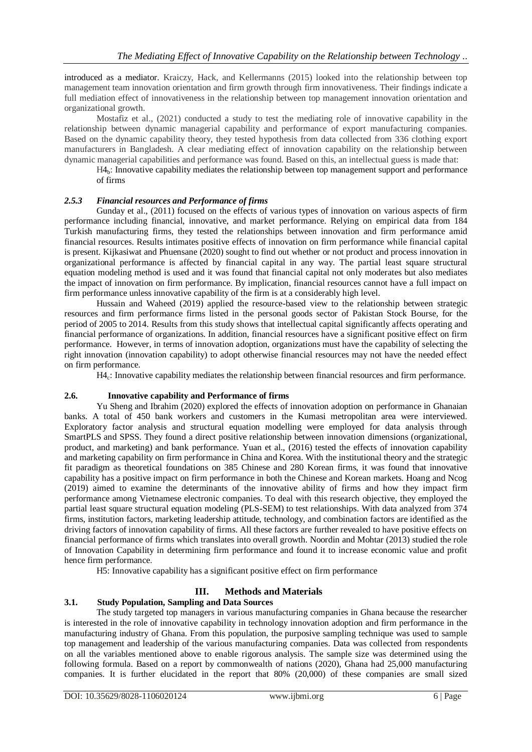introduced as a mediator. Kraiczy, Hack, and Kellermanns (2015) looked into the relationship between top management team innovation orientation and firm growth through firm innovativeness. Their findings indicate a full mediation effect of innovativeness in the relationship between top management innovation orientation and organizational growth.

Mostafiz et al., (2021) conducted a study to test the mediating role of innovative capability in the relationship between dynamic managerial capability and performance of export manufacturing companies. Based on the dynamic capability theory, they tested hypothesis from data collected from 336 clothing export manufacturers in Bangladesh. A clear mediating effect of innovation capability on the relationship between dynamic managerial capabilities and performance was found. Based on this, an intellectual guess is made that:

H4<sub>b</sub>: Innovative capability mediates the relationship between top management support and performance of firms

#### *2.5.3 Financial resources and Performance of firms*

Gunday et al., (2011) focused on the effects of various types of innovation on various aspects of firm performance including financial, innovative, and market performance. Relying on empirical data from 184 Turkish manufacturing firms, they tested the relationships between innovation and firm performance amid financial resources. Results intimates positive effects of innovation on firm performance while financial capital is present. Kijkasiwat and Phuensane (2020) sought to find out whether or not product and process innovation in organizational performance is affected by financial capital in any way. The partial least square structural equation modeling method is used and it was found that financial capital not only moderates but also mediates the impact of innovation on firm performance. By implication, financial resources cannot have a full impact on firm performance unless innovative capability of the firm is at a considerably high level.

Hussain and Waheed (2019) applied the resource-based view to the relationship between strategic resources and firm performance firms listed in the personal goods sector of Pakistan Stock Bourse, for the period of 2005 to 2014. Results from this study shows that intellectual capital significantly affects operating and financial performance of organizations. In addition, financial resources have a significant positive effect on firm performance. However, in terms of innovation adoption, organizations must have the capability of selecting the right innovation (innovation capability) to adopt otherwise financial resources may not have the needed effect on firm performance.

H4<sub>c</sub>: Innovative capability mediates the relationship between financial resources and firm performance.

#### **2.6. Innovative capability and Performance of firms**

Yu Sheng and Ibrahim (2020) explored the effects of innovation adoption on performance in Ghanaian banks. A total of 450 bank workers and customers in the Kumasi metropolitan area were interviewed. Exploratory factor analysis and structural equation modelling were employed for data analysis through SmartPLS and SPSS. They found a direct positive relationship between innovation dimensions (organizational, product, and marketing) and bank performance. Yuan et al., (2016) tested the effects of innovation capability and marketing capability on firm performance in China and Korea. With the institutional theory and the strategic fit paradigm as theoretical foundations on 385 Chinese and 280 Korean firms, it was found that innovative capability has a positive impact on firm performance in both the Chinese and Korean markets. Hoang and Ncog (2019) aimed to examine the determinants of the innovative ability of firms and how they impact firm performance among Vietnamese electronic companies. To deal with this research objective, they employed the partial least square structural equation modeling (PLS-SEM) to test relationships. With data analyzed from 374 firms, institution factors, marketing leadership attitude, technology, and combination factors are identified as the driving factors of innovation capability of firms. All these factors are further revealed to have positive effects on financial performance of firms which translates into overall growth. Noordin and Mohtar (2013) studied the role of Innovation Capability in determining firm performance and found it to increase economic value and profit hence firm performance.

H5: Innovative capability has a significant positive effect on firm performance

#### **III. Methods and Materials**

#### **3.1. Study Population, Sampling and Data Sources**

The study targeted top managers in various manufacturing companies in Ghana because the researcher is interested in the role of innovative capability in technology innovation adoption and firm performance in the manufacturing industry of Ghana. From this population, the purposive sampling technique was used to sample top management and leadership of the various manufacturing companies. Data was collected from respondents on all the variables mentioned above to enable rigorous analysis. The sample size was determined using the following formula. Based on a report by commonwealth of nations (2020), Ghana had 25,000 manufacturing companies. It is further elucidated in the report that 80% (20,000) of these companies are small sized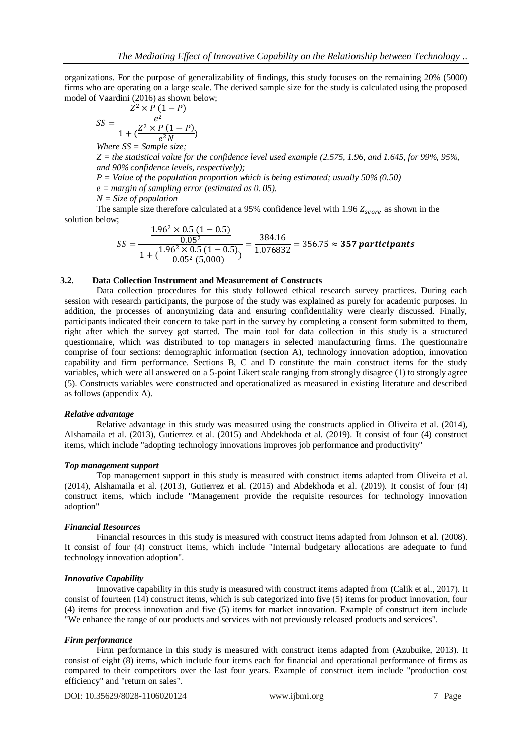organizations. For the purpose of generalizability of findings, this study focuses on the remaining 20% (5000) firms who are operating on a large scale. The derived sample size for the study is calculated using the proposed model of Vaardini (2016) as shown below;

$$
SS = \frac{\frac{Z^2 \times P (1 - P)}{e^2}}{1 + (\frac{Z^2 \times P (1 - P)}{e^2 N})}
$$

*Where SS = Sample size;*

*Z = the statistical value for the confidence level used example (2.575, 1.96, and 1.645, for 99%, 95%, and 90% confidence levels, respectively);* 

*P = Value of the population proportion which is being estimated; usually 50% (0.50)*

*e = margin of sampling error (estimated as 0. 05).*

*N = Size of population*

The sample size therefore calculated at a 95% confidence level with 1.96  $Z_{score}$  as shown in the solution below;

$$
SS = \frac{\frac{1.96^2 \times 0.5 (1 - 0.5)}{0.05^2}}{1 + (\frac{1.96^2 \times 0.5 (1 - 0.5)}{0.05^2 (5,000)})} = \frac{384.16}{1.076832} = 356.75 \approx 357 \,\text{participants}
$$

#### **3.2. Data Collection Instrument and Measurement of Constructs**

Data collection procedures for this study followed ethical research survey practices. During each session with research participants, the purpose of the study was explained as purely for academic purposes. In addition, the processes of anonymizing data and ensuring confidentiality were clearly discussed. Finally, participants indicated their concern to take part in the survey by completing a consent form submitted to them, right after which the survey got started. The main tool for data collection in this study is a structured questionnaire, which was distributed to top managers in selected manufacturing firms. The questionnaire comprise of four sections: demographic information (section A), technology innovation adoption, innovation capability and firm performance. Sections B, C and D constitute the main construct items for the study variables, which were all answered on a 5-point Likert scale ranging from strongly disagree (1) to strongly agree (5). Constructs variables were constructed and operationalized as measured in existing literature and described as follows (appendix A).

#### *Relative advantage*

Relative advantage in this study was measured using the constructs applied in Oliveira et al. (2014), Alshamaila et al. (2013), Gutierrez et al. (2015) and Abdekhoda et al. (2019). It consist of four (4) construct items, which include "adopting technology innovations improves job performance and productivity"

#### *Top management support*

Top management support in this study is measured with construct items adapted from Oliveira et al. (2014), Alshamaila et al. (2013), Gutierrez et al. (2015) and Abdekhoda et al. (2019). It consist of four (4) construct items, which include "Management provide the requisite resources for technology innovation adoption"

#### *Financial Resources*

Financial resources in this study is measured with construct items adapted from Johnson et al. (2008). It consist of four (4) construct items, which include "Internal budgetary allocations are adequate to fund technology innovation adoption".

#### *Innovative Capability*

Innovative capability in this study is measured with construct items adapted from **(**Calik et al., 2017). It consist of fourteen (14) construct items, which is sub categorized into five (5) items for product innovation, four (4) items for process innovation and five (5) items for market innovation. Example of construct item include "We enhance the range of our products and services with not previously released products and services".

#### *Firm performance*

Firm performance in this study is measured with construct items adapted from (Azubuike, 2013). It consist of eight (8) items, which include four items each for financial and operational performance of firms as compared to their competitors over the last four years. Example of construct item include "production cost efficiency" and "return on sales".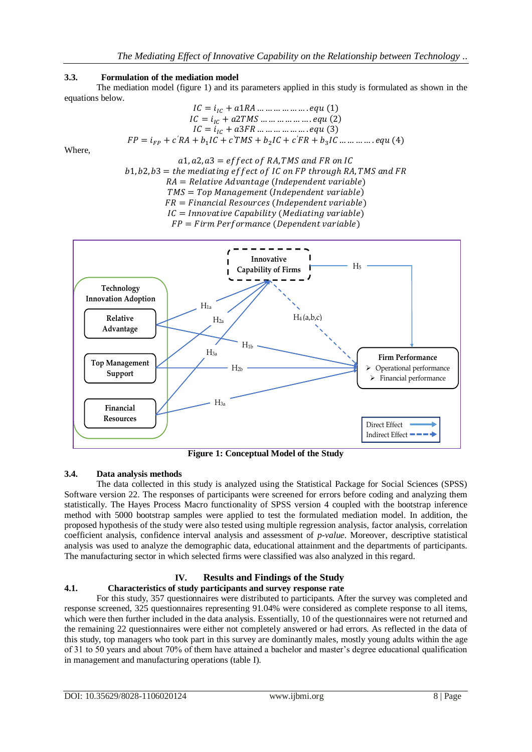## **3.3. Formulation of the mediation model**

The mediation model (figure 1) and its parameters applied in this study is formulated as shown in the equations below.

$$
IC = i_{IC} + a1RA \dots \dots \dots \dots \dots equ (1)
$$
  
\n
$$
IC = i_{IC} + a2TMS \dots \dots \dots \dots \dots equ (2)
$$
  
\n
$$
IC = i_{IC} + a3FR \dots \dots \dots \dots \dots equ (3)
$$
  
\n
$$
FP = i_{FP} + c'RA + b_1IC + c'TMS + b_2IC + c'FR + b_3IC \dots \dots \dots equ (4)
$$

Where,





**Figure 1: Conceptual Model of the Study**

#### **3.4. Data analysis methods**

The data collected in this study is analyzed using the Statistical Package for Social Sciences (SPSS) Software version 22. The responses of participants were screened for errors before coding and analyzing them statistically. The Hayes Process Macro functionality of SPSS version 4 coupled with the bootstrap inference method with 5000 bootstrap samples were applied to test the formulated mediation model. In addition, the proposed hypothesis of the study were also tested using multiple regression analysis, factor analysis, correlation coefficient analysis, confidence interval analysis and assessment of *p-value*. Moreover, descriptive statistical analysis was used to analyze the demographic data, educational attainment and the departments of participants. The manufacturing sector in which selected firms were classified was also analyzed in this regard.

## **IV. Results and Findings of the Study**

#### **4.1. Characteristics of study participants and survey response rate**

For this study, 357 questionnaires were distributed to participants. After the survey was completed and response screened, 325 questionnaires representing 91.04% were considered as complete response to all items, which were then further included in the data analysis. Essentially, 10 of the questionnaires were not returned and the remaining 22 questionnaires were either not completely answered or had errors. As reflected in the data of this study, top managers who took part in this survey are dominantly males, mostly young adults within the age of 31 to 50 years and about 70% of them have attained a bachelor and master's degree educational qualification in management and manufacturing operations (table I).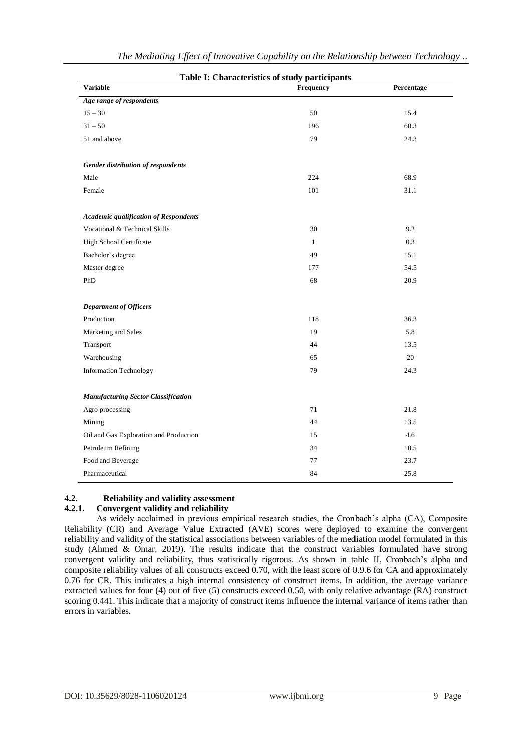|                                              | Table I: Characteristics of study participants |            |
|----------------------------------------------|------------------------------------------------|------------|
| <b>Variable</b>                              | <b>Frequency</b>                               | Percentage |
| Age range of respondents                     |                                                |            |
| $15 - 30$                                    | 50                                             | 15.4       |
| $31 - 50$                                    | 196                                            | 60.3       |
| 51 and above                                 | 79                                             | 24.3       |
| Gender distribution of respondents           |                                                |            |
| Male                                         | 224                                            | 68.9       |
| Female                                       | 101                                            | 31.1       |
| <b>Academic qualification of Respondents</b> |                                                |            |
| Vocational & Technical Skills                | 30                                             | 9.2        |
| High School Certificate                      | $\mathbf{1}$                                   | 0.3        |
| Bachelor's degree                            | 49                                             | 15.1       |
| Master degree                                | 177                                            | 54.5       |
| PhD                                          | 68                                             | 20.9       |
| <b>Department of Officers</b>                |                                                |            |
| Production                                   | 118                                            | 36.3       |
| Marketing and Sales                          | 19                                             | 5.8        |
| Transport                                    | 44                                             | 13.5       |
| Warehousing                                  | 65                                             | 20         |
| <b>Information Technology</b>                | 79                                             | 24.3       |
| <b>Manufacturing Sector Classification</b>   |                                                |            |
| Agro processing                              | 71                                             | 21.8       |
| Mining                                       | 44                                             | 13.5       |
| Oil and Gas Exploration and Production       | 15                                             | 4.6        |
| Petroleum Refining                           | 34                                             | 10.5       |
| Food and Beverage                            | 77                                             | 23.7       |
| Pharmaceutical                               | 84                                             | 25.8       |

## **4.2. Reliability and validity assessment**

## **4.2.1. Convergent validity and reliability**

As widely acclaimed in previous empirical research studies, the Cronbach's alpha (CA), Composite Reliability (CR) and Average Value Extracted (AVE) scores were deployed to examine the convergent reliability and validity of the statistical associations between variables of the mediation model formulated in this study (Ahmed & Omar, 2019). The results indicate that the construct variables formulated have strong convergent validity and reliability, thus statistically rigorous. As shown in table II, Cronbach's alpha and composite reliability values of all constructs exceed 0.70, with the least score of 0.9.6 for CA and approximately 0.76 for CR. This indicates a high internal consistency of construct items. In addition, the average variance extracted values for four (4) out of five (5) constructs exceed 0.50, with only relative advantage (RA) construct scoring 0.441. This indicate that a majority of construct items influence the internal variance of items rather than errors in variables.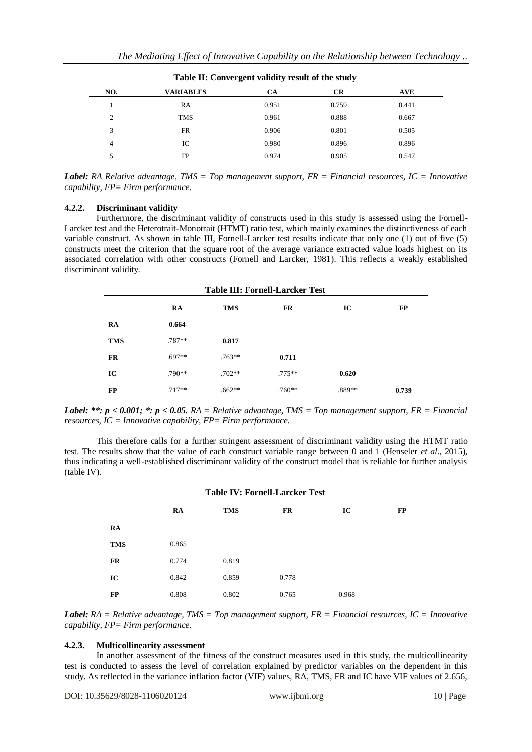|                | Table II: Convergent validity result of the study |       |           |            |  |  |  |  |
|----------------|---------------------------------------------------|-------|-----------|------------|--|--|--|--|
| NO.            | <b>VARIABLES</b>                                  | CА    | <b>CR</b> | <b>AVE</b> |  |  |  |  |
|                | RA                                                | 0.951 | 0.759     | 0.441      |  |  |  |  |
| $\overline{c}$ | <b>TMS</b>                                        | 0.961 | 0.888     | 0.667      |  |  |  |  |
| 3              | FR                                                | 0.906 | 0.801     | 0.505      |  |  |  |  |
| 4              | IC                                                | 0.980 | 0.896     | 0.896      |  |  |  |  |
|                | FP                                                | 0.974 | 0.905     | 0.547      |  |  |  |  |

*Label: RA Relative advantage, TMS = Top management support, FR = Financial resources, IC = Innovative capability, FP= Firm performance.*

#### **4.2.2. Discriminant validity**

Furthermore, the discriminant validity of constructs used in this study is assessed using the Fornell-Larcker test and the Heterotrait-Monotrait (HTMT) ratio test, which mainly examines the distinctiveness of each variable construct. As shown in table III, Fornell-Larcker test results indicate that only one (1) out of five (5) constructs meet the criterion that the square root of the average variance extracted value loads highest on its associated correlation with other constructs (Fornell and Larcker, 1981). This reflects a weakly established discriminant validity.

| <b>Table III: Fornell-Larcker Test</b> |          |            |           |        |       |  |  |
|----------------------------------------|----------|------------|-----------|--------|-------|--|--|
|                                        | RA       | <b>TMS</b> | <b>FR</b> | IC     | FP    |  |  |
| RA                                     | 0.664    |            |           |        |       |  |  |
| <b>TMS</b>                             | $.787**$ | 0.817      |           |        |       |  |  |
| <b>FR</b>                              | $.697**$ | $.763**$   | 0.711     |        |       |  |  |
| IC                                     | $.790**$ | $.702**$   | $.775***$ | 0.620  |       |  |  |
| FP                                     | $.717**$ | $.662**$   | $.760**$  | .889** | 0.739 |  |  |

*Label: \*\*: p < 0.001; \*: p < 0.05. RA = Relative advantage, TMS = Top management support, FR = Financial resources, IC = Innovative capability, FP= Firm performance.*

This therefore calls for a further stringent assessment of discriminant validity using the HTMT ratio test. The results show that the value of each construct variable range between 0 and 1 (Henseler *et al*., 2015), thus indicating a well-established discriminant validity of the construct model that is reliable for further analysis (table IV).

|            | <b>Table IV: Fornell-Larcker Test</b> |            |       |       |           |  |  |  |
|------------|---------------------------------------|------------|-------|-------|-----------|--|--|--|
|            | RA                                    | <b>TMS</b> | FR    | IC    | <b>FP</b> |  |  |  |
| RA         |                                       |            |       |       |           |  |  |  |
| <b>TMS</b> | 0.865                                 |            |       |       |           |  |  |  |
| <b>FR</b>  | 0.774                                 | 0.819      |       |       |           |  |  |  |
| IC         | 0.842                                 | 0.859      | 0.778 |       |           |  |  |  |
| FP         | 0.808                                 | 0.802      | 0.765 | 0.968 |           |  |  |  |

*Label: RA = Relative advantage, TMS = Top management support, FR = Financial resources, IC = Innovative capability, FP= Firm performance.*

#### **4.2.3. Multicollinearity assessment**

In another assessment of the fitness of the construct measures used in this study, the multicollinearity test is conducted to assess the level of correlation explained by predictor variables on the dependent in this study. As reflected in the variance inflation factor (VIF) values, RA, TMS, FR and IC have VIF values of 2.656,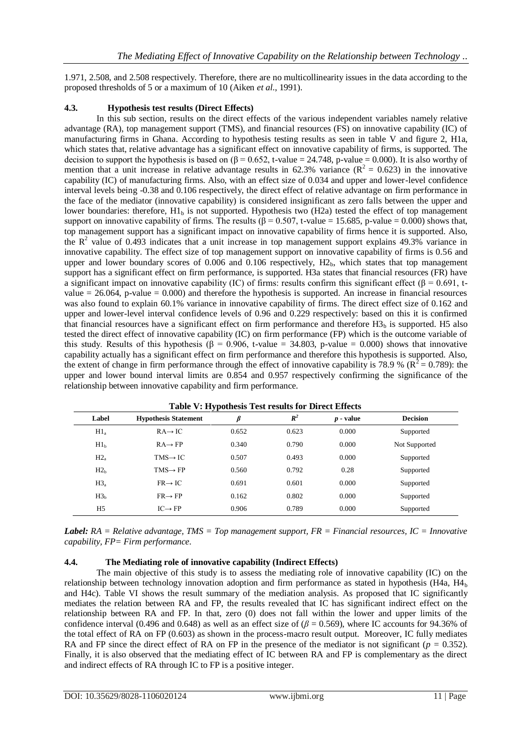1.971, 2.508, and 2.508 respectively. Therefore, there are no multicollinearity issues in the data according to the proposed thresholds of 5 or a maximum of 10 (Aiken *et al*., 1991).

### **4.3. Hypothesis test results (Direct Effects)**

In this sub section, results on the direct effects of the various independent variables namely relative advantage (RA), top management support (TMS), and financial resources (FS) on innovative capability (IC) of manufacturing firms in Ghana. According to hypothesis testing results as seen in table V and figure 2, H1a, which states that, relative advantage has a significant effect on innovative capability of firms, is supported. The decision to support the hypothesis is based on ( $\beta$  = 0.652, t-value = 24.748, p-value = 0.000). It is also worthy of mention that a unit increase in relative advantage results in 62.3% variance ( $R^2 = 0.623$ ) in the innovative capability (IC) of manufacturing firms. Also, with an effect size of 0.034 and upper and lower-level confidence interval levels being -0.38 and 0.106 respectively, the direct effect of relative advantage on firm performance in the face of the mediator (innovative capability) is considered insignificant as zero falls between the upper and lower boundaries: therefore,  $H1<sub>b</sub>$  is not supported. Hypothesis two (H2a) tested the effect of top management support on innovative capability of firms. The results ( $\beta$  = 0.507, t-value = 15.685, p-value = 0.000) shows that, top management support has a significant impact on innovative capability of firms hence it is supported. Also, the  $R^2$  value of 0.493 indicates that a unit increase in top management support explains 49.3% variance in innovative capability. The effect size of top management support on innovative capability of firms is 0.56 and upper and lower boundary scores of  $0.006$  and  $0.106$  respectively,  $H2<sub>b</sub>$ , which states that top management support has a significant effect on firm performance, is supported. H3a states that financial resources (FR) have a significant impact on innovative capability (IC) of firms: results confirm this significant effect ( $\beta = 0.691$ , tvalue  $= 26.064$ , p-value  $= 0.000$ ) and therefore the hypothesis is supported. An increase in financial resources was also found to explain 60.1% variance in innovative capability of firms. The direct effect size of 0.162 and upper and lower-level interval confidence levels of 0.96 and 0.229 respectively: based on this it is confirmed that financial resources have a significant effect on firm performance and therefore  $H3<sub>b</sub>$  is supported. H5 also tested the direct effect of innovative capability (IC) on firm performance (FP) which is the outcome variable of this study. Results of this hypothesis ( $\beta = 0.906$ , t-value = 34.803, p-value = 0.000) shows that innovative capability actually has a significant effect on firm performance and therefore this hypothesis is supported. Also, the extent of change in firm performance through the effect of innovative capability is 78.9 % ( $\mathbb{R}^2 = 0.789$ ): the upper and lower bound interval limits are 0.854 and 0.957 respectively confirming the significance of the relationship between innovative capability and firm performance.

| Label           | <b>Hypothesis Statement</b> | ß     | $R^2$ | $p$ - value | <b>Decision</b> |
|-----------------|-----------------------------|-------|-------|-------------|-----------------|
| $H1_a$          | $RA \rightarrow IC$         | 0.652 | 0.623 | 0.000       | Supported       |
| H1 <sub>b</sub> | $RA \rightarrow FP$         | 0.340 | 0.790 | 0.000       | Not Supported   |
| $H2_a$          | $TMS \rightarrow IC$        | 0.507 | 0.493 | 0.000       | Supported       |
| H2 <sub>b</sub> | $TMS \rightarrow FP$        | 0.560 | 0.792 | 0.28        | Supported       |
| H3 <sub>a</sub> | $FR \rightarrow IC$         | 0.691 | 0.601 | 0.000       | Supported       |
| H3 <sub>h</sub> | $FR \rightarrow FP$         | 0.162 | 0.802 | 0.000       | Supported       |
| H <sub>5</sub>  | $IC \rightarrow FP$         | 0.906 | 0.789 | 0.000       | Supported       |

**Table V: Hypothesis Test results for Direct Effects**

*Label: RA = Relative advantage, TMS = Top management support, FR = Financial resources, IC = Innovative capability, FP= Firm performance.*

#### **4.4. The Mediating role of innovative capability (Indirect Effects)**

The main objective of this study is to assess the mediating role of innovative capability (IC) on the relationship between technology innovation adoption and firm performance as stated in hypothesis (H4a, H4<sub>b</sub> and H4c). Table VI shows the result summary of the mediation analysis. As proposed that IC significantly mediates the relation between RA and FP, the results revealed that IC has significant indirect effect on the relationship between RA and FP. In that, zero (0) does not fall within the lower and upper limits of the confidence interval (0.496 and 0.648) as well as an effect size of  $(\beta = 0.569)$ , where IC accounts for 94.36% of the total effect of RA on FP (0.603) as shown in the process-macro result output. Moreover, IC fully mediates RA and FP since the direct effect of RA on FP in the presence of the mediator is not significant ( $p = 0.352$ ). Finally, it is also observed that the mediating effect of IC between RA and FP is complementary as the direct and indirect effects of RA through IC to FP is a positive integer.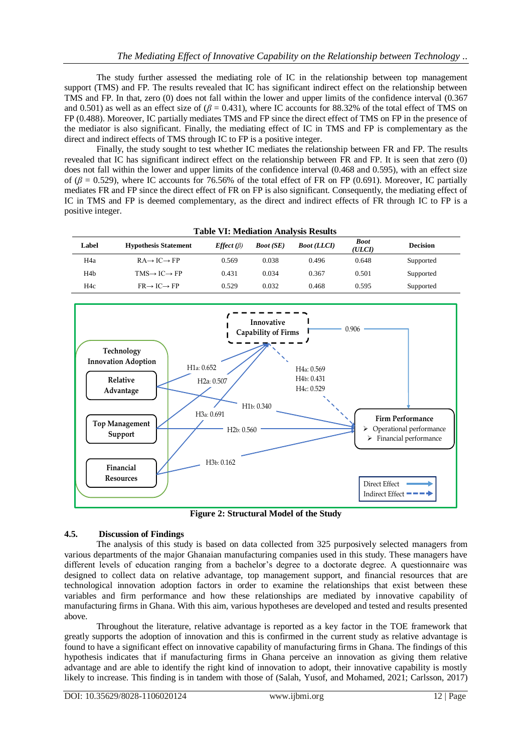The study further assessed the mediating role of IC in the relationship between top management support (TMS) and FP. The results revealed that IC has significant indirect effect on the relationship between TMS and FP. In that, zero (0) does not fall within the lower and upper limits of the confidence interval (0.367 and 0.501) as well as an effect size of  $(\beta = 0.431)$ , where IC accounts for 88.32% of the total effect of TMS on FP (0.488). Moreover, IC partially mediates TMS and FP since the direct effect of TMS on FP in the presence of the mediator is also significant. Finally, the mediating effect of IC in TMS and FP is complementary as the direct and indirect effects of TMS through IC to FP is a positive integer.

Finally, the study sought to test whether IC mediates the relationship between FR and FP. The results revealed that IC has significant indirect effect on the relationship between FR and FP. It is seen that zero (0) does not fall within the lower and upper limits of the confidence interval (0.468 and 0.595), with an effect size of (*β* = 0.529), where IC accounts for 76.56% of the total effect of FR on FP (0.691). Moreover, IC partially mediates FR and FP since the direct effect of FR on FP is also significant. Consequently, the mediating effect of IC in TMS and FP is deemed complementary, as the direct and indirect effects of FR through IC to FP is a positive integer.

| Label            | <b>Hypothesis Statement</b>          | $Effect(\beta)$ | <b>Boot</b> (SE) | <b>Boot</b> (LLCI) | <b>Boot</b><br>(ULCI) | <b>Decision</b> |
|------------------|--------------------------------------|-----------------|------------------|--------------------|-----------------------|-----------------|
| H <sub>4</sub> a | $RA \rightarrow IC \rightarrow FP$   | 0.569           | 0.038            | 0.496              | 0.648                 | Supported       |
| H4b              | $TMS \rightarrow I C \rightarrow FP$ | 0.431           | 0.034            | 0.367              | 0.501                 | Supported       |
| H <sub>4c</sub>  | $FR \rightarrow IC \rightarrow FP$   | 0.529           | 0.032            | 0.468              | 0.595                 | Supported       |

**Table VI: Mediation Analysis Results**



**Figure 2: Structural Model of the Study**

## **4.5. Discussion of Findings**

The analysis of this study is based on data collected from 325 purposively selected managers from various departments of the major Ghanaian manufacturing companies used in this study. These managers have different levels of education ranging from a bachelor's degree to a doctorate degree. A questionnaire was designed to collect data on relative advantage, top management support, and financial resources that are technological innovation adoption factors in order to examine the relationships that exist between these variables and firm performance and how these relationships are mediated by innovative capability of manufacturing firms in Ghana. With this aim, various hypotheses are developed and tested and results presented above.

Throughout the literature, relative advantage is reported as a key factor in the TOE framework that greatly supports the adoption of innovation and this is confirmed in the current study as relative advantage is found to have a significant effect on innovative capability of manufacturing firms in Ghana. The findings of this hypothesis indicates that if manufacturing firms in Ghana perceive an innovation as giving them relative advantage and are able to identify the right kind of innovation to adopt, their innovative capability is mostly likely to increase. This finding is in tandem with those of (Salah, Yusof, and Mohamed, 2021; Carlsson, 2017)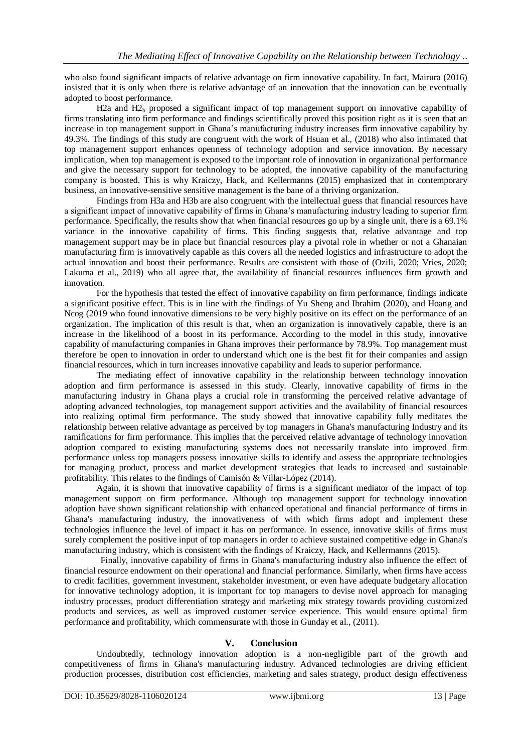who also found significant impacts of relative advantage on firm innovative capability. In fact, Mairura (2016) insisted that it is only when there is relative advantage of an innovation that the innovation can be eventually adopted to boost performance.

H2a and  $H2<sub>b</sub>$  proposed a significant impact of top management support on innovative capability of firms translating into firm performance and findings scientifically proved this position right as it is seen that an increase in top management support in Ghana's manufacturing industry increases firm innovative capability by 49.3%. The findings of this study are congruent with the work of Hsuan et al., (2018) who also intimated that top management support enhances openness of technology adoption and service innovation. By necessary implication, when top management is exposed to the important role of innovation in organizational performance and give the necessary support for technology to be adopted, the innovative capability of the manufacturing company is boosted. This is why Kraiczy, Hack, and Kellermanns (2015) emphasized that in contemporary business, an innovative-sensitive sensitive management is the bane of a thriving organization.

Findings from H3a and H3b are also congruent with the intellectual guess that financial resources have a significant impact of innovative capability of firms in Ghana's manufacturing industry leading to superior firm performance. Specifically, the results show that when financial resources go up by a single unit, there is a 69.1% variance in the innovative capability of firms. This finding suggests that, relative advantage and top management support may be in place but financial resources play a pivotal role in whether or not a Ghanaian manufacturing firm is innovatively capable as this covers all the needed logistics and infrastructure to adopt the actual innovation and boost their performance. Results are consistent with those of (Ozili, 2020; Vries, 2020; Lakuma et al., 2019) who all agree that, the availability of financial resources influences firm growth and innovation.

For the hypothesis that tested the effect of innovative capability on firm performance, findings indicate a significant positive effect. This is in line with the findings of Yu Sheng and Ibrahim (2020), and Hoang and Ncog (2019 who found innovative dimensions to be very highly positive on its effect on the performance of an organization. The implication of this result is that, when an organization is innovatively capable, there is an increase in the likelihood of a boost in its performance. According to the model in this study, innovative capability of manufacturing companies in Ghana improves their performance by 78.9%. Top management must therefore be open to innovation in order to understand which one is the best fit for their companies and assign financial resources, which in turn increases innovative capability and leads to superior performance.

The mediating effect of innovative capability in the relationship between technology innovation adoption and firm performance is assessed in this study. Clearly, innovative capability of firms in the manufacturing industry in Ghana plays a crucial role in transforming the perceived relative advantage of adopting advanced technologies, top management support activities and the availability of financial resources into realizing optimal firm performance. The study showed that innovative capability fully meditates the relationship between relative advantage as perceived by top managers in Ghana's manufacturing Industry and its ramifications for firm performance. This implies that the perceived relative advantage of technology innovation adoption compared to existing manufacturing systems does not necessarily translate into improved firm performance unless top managers possess innovative skills to identify and assess the appropriate technologies for managing product, process and market development strategies that leads to increased and sustainable profitability. This relates to the findings of Camisón & Villar-López (2014).

Again, it is shown that innovative capability of firms is a significant mediator of the impact of top management support on firm performance. Although top management support for technology innovation adoption have shown significant relationship with enhanced operational and financial performance of firms in Ghana's manufacturing industry, the innovativeness of with which firms adopt and implement these technologies influence the level of impact it has on performance. In essence, innovative skills of firms must surely complement the positive input of top managers in order to achieve sustained competitive edge in Ghana's manufacturing industry, which is consistent with the findings of Kraiczy, Hack, and Kellermanns (2015).

Finally, innovative capability of firms in Ghana's manufacturing industry also influence the effect of financial resource endowment on their operational and financial performance. Similarly, when firms have access to credit facilities, government investment, stakeholder investment, or even have adequate budgetary allocation for innovative technology adoption, it is important for top managers to devise novel approach for managing industry processes, product differentiation strategy and marketing mix strategy towards providing customized products and services, as well as improved customer service experience. This would ensure optimal firm performance and profitability, which commensurate with those in Gunday et al., (2011).

#### **V. Conclusion**

Undoubtedly, technology innovation adoption is a non-negligible part of the growth and competitiveness of firms in Ghana's manufacturing industry. Advanced technologies are driving efficient production processes, distribution cost efficiencies, marketing and sales strategy, product design effectiveness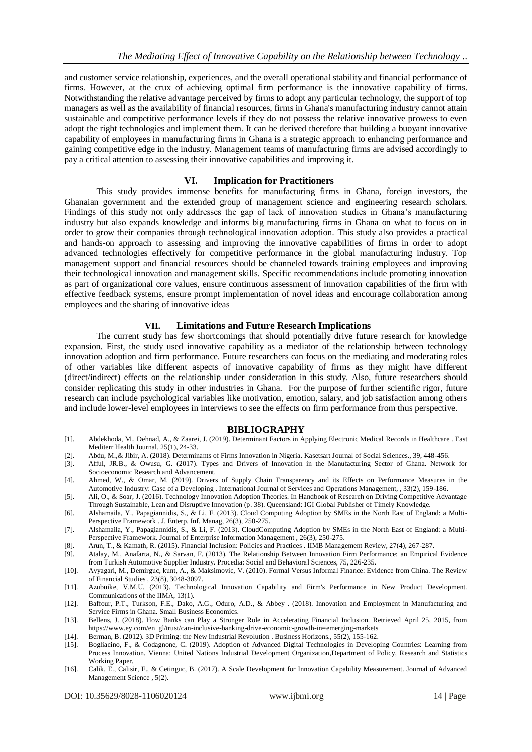and customer service relationship, experiences, and the overall operational stability and financial performance of firms. However, at the crux of achieving optimal firm performance is the innovative capability of firms. Notwithstanding the relative advantage perceived by firms to adopt any particular technology, the support of top managers as well as the availability of financial resources, firms in Ghana's manufacturing industry cannot attain sustainable and competitive performance levels if they do not possess the relative innovative prowess to even adopt the right technologies and implement them. It can be derived therefore that building a buoyant innovative capability of employees in manufacturing firms in Ghana is a strategic approach to enhancing performance and gaining competitive edge in the industry. Management teams of manufacturing firms are advised accordingly to pay a critical attention to assessing their innovative capabilities and improving it.

#### **VI. Implication for Practitioners**

This study provides immense benefits for manufacturing firms in Ghana, foreign investors, the Ghanaian government and the extended group of management science and engineering research scholars. Findings of this study not only addresses the gap of lack of innovation studies in Ghana's manufacturing industry but also expands knowledge and informs big manufacturing firms in Ghana on what to focus on in order to grow their companies through technological innovation adoption. This study also provides a practical and hands-on approach to assessing and improving the innovative capabilities of firms in order to adopt advanced technologies effectively for competitive performance in the global manufacturing industry. Top management support and financial resources should be channeled towards training employees and improving their technological innovation and management skills. Specific recommendations include promoting innovation as part of organizational core values, ensure continuous assessment of innovation capabilities of the firm with effective feedback systems, ensure prompt implementation of novel ideas and encourage collaboration among employees and the sharing of innovative ideas

#### **VII. Limitations and Future Research Implications**

The current study has few shortcomings that should potentially drive future research for knowledge expansion. First, the study used innovative capability as a mediator of the relationship between technology innovation adoption and firm performance. Future researchers can focus on the mediating and moderating roles of other variables like different aspects of innovative capability of firms as they might have different (direct/indirect) effects on the relationship under consideration in this study. Also, future researchers should consider replicating this study in other industries in Ghana. For the purpose of further scientific rigor, future research can include psychological variables like motivation, emotion, salary, and job satisfaction among others and include lower-level employees in interviews to see the effects on firm performance from thus perspective.

#### **BIBLIOGRAPHY**

- [1]. Abdekhoda, M., Dehnad, A., & Zaarei, J. (2019). Determinant Factors in Applying Electronic Medical Records in Healthcare . East Mediterr Health Journal, 25(1), 24-33.
- [2]. Abdu, M.,& Jibir, A. (2018). Determinants of Firms Innovation in Nigeria. Kasetsart Journal of Social Sciences., 39, 448-456.
- Afful, JR.B., & Owusu, G. (2017). Types and Drivers of Innovation in the Manufacturing Sector of Ghana. Network for Socioeconomic Research and Advancement.
- [4]. Ahmed, W., & Omar, M. (2019). Drivers of Supply Chain Transparency and its Effects on Performance Measures in the Automotive Industry: Case of a Developing . International Journal of Services and Operations Management, , 33(2), 159-186.
- [5]. Ali, O., & Soar, J. (2016). Technology Innovation Adoption Theories. In Handbook of Research on Driving Competitive Advantage Through Sustainable, Lean and Disruptive Innovation (p. 38). Queensland: IGI Global Publisher of Timely Knowledge.
- [6]. Alshamaila, Y., Papagiannidis, S., & Li, F. (2013). Cloud Computing Adoption by SMEs in the North East of England: a Multi-Perspective Framework . J. Enterp. Inf. Manag, 26(3), 250-275.
- [7]. Alshamaila, Y., Papagiannidis, S., & Li, F. (2013). CloudComputing Adoption by SMEs in the North East of England: a Multi-Perspective Framework. Journal of Enterprise Information Management , 26(3), 250-275.
- [8]. Arun, T., & Kamath, R. (2015). Financial Inclusion: Policies and Practices . IIMB Management Review, 27(4), 267-287.
- [9]. Atalay, M., Anafarta, N., & Sarvan, F. (2013). The Relationship Between Innovation Firm Performance: an Empirical Evidence from Turkish Automotive Supplier Industry. Procedia: Social and Behavioral Sciences, 75, 226-235.
- [10]. Ayyagari, M., Demirguc, kunt, A., & Maksimovic, V. (2010). Formal Versus Informal Finance: Evidence from China. The Review of Financial Studies , 23(8), 3048-3097.
- [11]. Azubuike, V.M.U. (2013). Technological Innovation Capability and Firm's Performance in New Product Development. Communications of the IIMA, 13(1).
- [12]. Baffour, P.T., Turkson, F.E., Dako, A.G., Oduro, A.D., & Abbey . (2018). Innovation and Employment in Manufacturing and Service Firms in Ghana. Small Business Economics.
- [13]. Bellens, J. (2018). How Banks can Play a Stronger Role in Accelerating Financial Inclusion. Retrieved April 25, 2015, from https://www.ey.com/en\_gl/trust/can-inclusive-banking-drive-economic-growth-in=emerging-markets
- [14]. Berman, B. (2012). 3D Printing: the New Industrial Revolution . Business Horizons., 55(2), 155-162. [15]. Bogliacino, F., & Codagnone, C. (2019). Adoption of Advanced Digital Technologies in Develop
- [15]. Bogliacino, F., & Codagnone, C. (2019). Adoption of Advanced Digital Technologies in Developing Countries: Learning from Process Innovation. Vienna: United Nations Industrial Development Organization,Department of Policy, Research and Statistics Working Paper.
- [16]. Calik, E., Calisir, F., & Cetinguc, B. (2017). A Scale Development for Innovation Capability Measurement. Journal of Advanced Management Science , 5(2).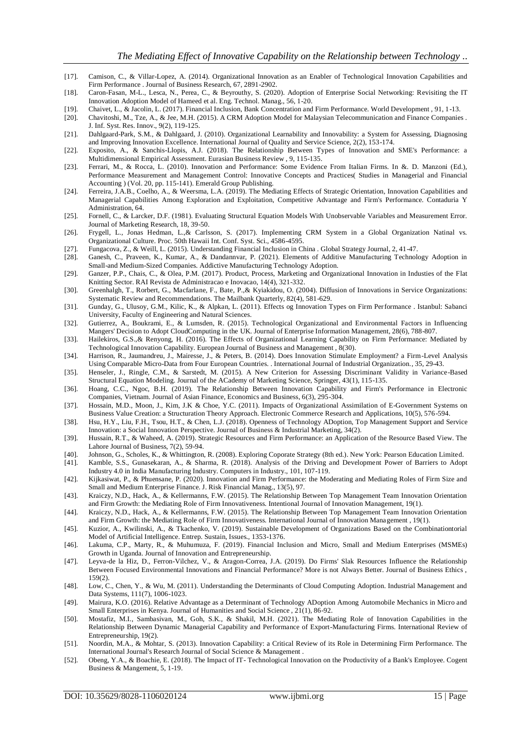- [17]. Camison, C., & Villar-Lopez, A. (2014). Organizational Innovation as an Enabler of Technological Innovation Capabilities and Firm Performance . Journal of Business Research, 67, 2891-2902.
- [18]. Caron-Fasan, M-L., Lesca, N., Perea, C., & Beyrouthy, S. (2020). Adoption of Enterprise Social Networking: Revisiting the IT Innovation Adoption Model of Hameed et al. Eng. Technol. Manag., 56, 1-20.
- [19]. Chaivet, L., & Jacolin, L. (2017). Financial Inclusion, Bank Concentration and Firm Performance. World Development , 91, 1-13.
- [20]. Chavitoshi, M., Tze, A., & Jee, M.H. (2015). A CRM Adoption Model for Malaysian Telecommunication and Finance Companies . J. Inf. Syst. Res. Innov., 9(2), 119-125.
- [21]. Dahlgaard-Park, S.M., & Dahlgaard, J. (2010). Organizational Learnability and Innovability: a System for Assessing, Diagnosing and Improving Innovation Excellence. International Journal of Quality and Service Science, 2(2), 153-174.
- [22]. Exposito, A., & Sanchis-Llopis, A.J. (2018). The Relationship Between Types of Innovation and SME's Performance: a Multidimensional Empirical Assessment. Eurasian Business Review , 9, 115-135.
- [23]. Ferrari, M., & Rocca, L. (2010). Innovation and Performance: Some Evidence From Italian Firms. In &. D. Manzoni (Ed.), Performance Measurement and Management Control: Innovative Concepts and Practices( Studies in Managerial and Financial Accounting ) (Vol. 20, pp. 115-141). Emerald Group Publishing.
- [24]. Ferreira, J.A.B., Coelho, A., & Weersma, L.A. (2019). The Mediating Effects of Strategic Orientation, Innovation Capabilities and Managerial Capabilities Among Exploration and Exploitation, Competitive Advantage and Firm's Performance. Contaduria Y Administration, 64.
- [25]. Fornell, C., & Larcker, D.F. (1981). Evaluating Structural Equation Models With Unobservable Variables and Measurement Error. Journal of Marketing Research, 18, 39-50.
- [26]. Frygell, L., Jonas Hedman, L.,& Carlsson, S. (2017). Implementing CRM System in a Global Organization Natinal vs. Organizational Culture. Proc. 50th Hawaii Int. Conf. Syst. Sci., 4586-4595.
- [27]. Fungacova, Z., & Weill, L. (2015). Understanding Financial Inclusion in China . Global Strategy Journal, 2, 41-47.
- [28]. Ganesh, C., Praveen, K., Kumar, A., & Dandannvar, P. (2021). Elements of Additive Manufacturing Technology Adoption in Small-and Medium-Sized Companies. Addictive Manufacturing Technology Adoption.
- [29]. Ganzer, P.P., Chais, C., & Olea, P.M. (2017). Product, Process, Marketing and Organizational Innovation in Industies of the Flat Knitting Sector. RAI Revista de Administracao e Inovacao, 14(4), 321-332.
- [30]. Greenhalgh, T., Rorbert, G., Macfarlane, F., Bate, P.,& Kyiakidou, O. (2004). Diffusion of Innovations in Service Organizations: Systematic Review and Recommendations. The Mailbank Quarterly, 82(4), 581-629.
- [31]. Gunday, G., Ulusoy, G.M., Kilic, K., & Alpkan, L. (2011). Effects og Innovation Types on Firm Performance . Istanbul: Sabanci University, Faculty of Engineering and Natural Sciences.
- [32]. Gutierrez, A., Boukrami, E., & Lumsden, R. (2015). Technological Organizational and Environmental Factors in Influencing Mangers' Decision to Adopt CloudComputing in the UK. Journal of Enterprise Information Management, 28(6), 788-807.
- [33]. Hailekiros, G.S.,& Renyong, H. (2016). The Effects of Organizational Learning Capability on Firm Performance: Mediated by Technological Innovation Capability. European Journal of Business and Management , 8(30).
- [34]. Harrison, R., Jaumandreu, J., Mairesse, J., & Peters, B. (2014). Does Innovation Stimulate Employment? a Firm-Level Analysis Using Comparable Micro-Data from Four European Countries. . International Journal of Industrial Organization., 35, 29-43.
- [35]. Henseler, J., Ringle, C.M., & Sarstedt, M. (2015). A New Criterion for Assessing Discriminant Validity in Variance-Based Structural Equation Modeling. Journal of the ACademy of Marketing Science, Springer, 43(1), 115-135.
- [36]. Hoang, C.C., Ngoc, B.H. (2019). The Relationship Between Innovation Capability and Firm's Performance in Electronic Companies, Vietnam. Journal of Asian Finance, Economics and Business, 6(3), 295-304.
- [37]. Hossain, M.D., Moon, J., Kim, J.K & Choe, Y.C. (2011). Impacts of Organizational Assimilation of E-Government Systems on Business Value Creation: a Structuration Theory Approach. Electronic Commerce Research and Applications, 10(5), 576-594.
- [38]. Hsu, H.Y., Liu, F.H., Tsou, H.T., & Chen, L.J. (2018). Openness of Technology ADoption, Top Management Support and Service Innovation: a Social Innovation Perspective. Journal of Business & Industrial Marketing, 34(2).
- [39]. Hussain, R.T., & Waheed, A. (2019). Strategic Resources and Firm Performance: an Application of the Resource Based View. The Lahore Journal of Business, 7(2), 59-94.
- [40]. Johnson, G., Scholes, K., & Whittington, R. (2008). Exploring Coporate Strategy (8th ed.). New York: Pearson Education Limited.
- [41]. Kamble, S.S., Gunasekaran, A., & Sharma, R. (2018). Analysis of the Driving and Development Power of Barriers to Adopt Industry 4.0 in India Manufacturing Industry. Computers in Industry., 101, 107-119.
- [42]. Kijkasiwat, P., & Phuensane, P. (2020). Innovation and Firm Performance: the Moderating and Mediating Roles of Firm Size and Small and Medium Enterprise Finance. J. Risk Financial Manag., 13(5), 97.
- [43]. Kraiczy, N.D., Hack, A., & Kellermanns, F.W. (2015). The Relationship Between Top Management Team Innovation Orientation and Firm Growth: the Mediating Role of Firm Innovativeness. Intentional Journal of Innovation Management, 19(1).
- [44]. Kraiczy, N.D., Hack, A., & Kellermanns, F.W. (2015). The Relationship Between Top Management Team Innovation Orientation and Firm Growth: the Mediating Role of Firm Innovativeness. International Journal of Innovation Management , 19(1).
- [45]. Kuzior, A., Kwilinski, A., & Tkachenko, V. (2019). Sustainable Development of Organizations Based on the Combinationtorial Model of Artificial Intelligence. Entrep. Sustain, Issues., 1353-1376.
- [46]. Lakuma, C.P., Marty, R., & Muhumuza, F. (2019). Financial Inclusion and Micro, Small and Medium Enterprises (MSMEs) Growth in Uganda. Journal of Innovation and Entrepreneurship.
- [47]. Leyva-de la Hiz, D., Ferron-Vilchez, V., & Aragon-Correa, J.A. (2019). Do Firms' Slak Resources Influence the Relationship Between Focused Environmental Innovations and Financial Performance? More is not Always Better. Journal of Business Ethics, 159(2).
- [48]. Low, C., Chen, Y., & Wu, M. (2011). Understanding the Determinants of Cloud Computing Adoption. Industrial Management and Data Systems, 111(7), 1006-1023.
- [49]. Mairura, K.O. (2016). Relative Advantage as a Determinant of Technology ADoption Among Automobile Mechanics in Micro and Small Enterprises in Kenya. Journal of Humanities and Social Science , 21(1), 86-92.
- [50]. Mostafiz, M.I., Sambasivan, M., Goh, S.K., & Shakil, M.H. (2021). The Mediating Role of Innovation Capabilities in the Relationship Between Dynamic Managerial Capability and Performance of Export-Manufacturing Firms. International Review of Entrepreneurship, 19(2).
- [51]. Noordin, M.A., & Mohtar, S. (2013). Innovation Capability: a Critical Review of its Role in Determining Firm Performance. The International Journal's Research Journal of Social Science & Management .
- [52]. Obeng, Y.A., & Boachie, E. (2018). The Impact of IT- Technological Innovation on the Productivity of a Bank's Employee. Cogent Business & Mangement, 5, 1-19.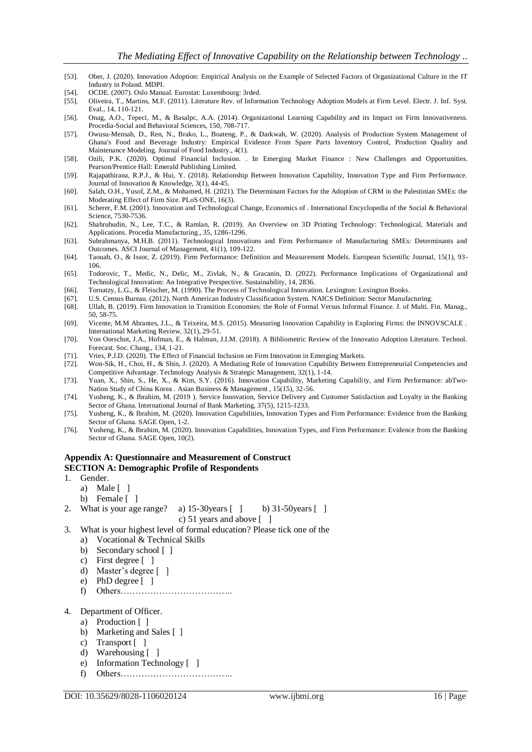- [53]. Ober, J. (2020). Innovation Adoption: Empirical Analysis on the Example of Selected Factors of Organizational Culture in the IT Industry in Poland. MDPI.
- [54]. OCDE. (2007). Oslo Manual. Eurostat: Luxembourg: 3rded.
- [55]. Oliveira, T., Martins, M.F. (2011). Literature Rev. of Information Technology Adoption Models at Firm Level. Electr. J. Inf. Syst. Eval., 14, 110-121.
- [56]. Onag, A.O., Tepeci, M., & Basalpc, A.A. (2014). Organizational Learning Capability and its Impact on Firm Innovativeness. Procedia-Social and Behavioral Sciences, 150, 708-717.
- [57]. Owusu-Mensah, D., Ren, N., Brako, L., Boateng, P., & Darkwah, W. (2020). Analysis of Production System Management of Ghana's Food and Beverage Industry: Empirical Evidence From Spare Parts Inventory Control, Production Quality and Maintenance Modeling. Journal of Food Industry., 4(1).
- [58]. Ozili, P.K. (2020). Optimal Financial Inclusion. . In Emerging Market Finance : New Challenges and Opportunities. Pearson/Prentice Hall: Emerald Publishing Limited.
- [59]. Rajapathirana, R.P.J., & Hui, Y. (2018). Relationship Between Innovation Capability, Innovation Type and Firm Performance. Journal of Innovation & Knowledge, 3(1), 44-45.
- [60]. Salah, O.H., Yusof, Z.M., & Mohamed, H. (2021). The Determinant Factors for the Adoption of CRM in the Palestinian SMEs: the Moderating Effect of Firm Size. PLoS ONE, 16(3).
- [61]. Scherer, F.M. (2001). Innovation and Technological Change, Economics of . International Encyclopedia of the Social & Behavioral Science, 7530-7536.
- [62]. Shahrubudin, N., Lee, T.C., & Ramlan, R. (2019). An Overview on 3D Printing Technology: Technological, Materials and Applications. Procedia Manufacturing., 35, 1286-1296.
- [63]. Subrahmanya, M.H.B. (2011). Technological Innovations and Firm Performance of Manufacturing SMEs: Determinants and Outcomes. ASCI Journal of Management, 41(1), 109-122.
- [64]. Taouab, O., & Issor, Z. (2019). Firm Performance: Definition and Measurement Models. European Scientific Journal, 15(1), 93- 106.
- [65]. Todorovic, T., Medic, N., Delic, M., Zivlak, N., & Gracanin, D. (2022). Performance Implications of Organizational and Technological Innovation: An Integrative Perspective. Sustainability, 14, 2836.
- [66]. Tornatzy, L.G., & Fleischer, M. (1990). The Process of Technological Innovation. Lexington: Lexington Books.
- [67]. U.S. Census Bureau. (2012). North American Industry Classification System. NAICS Definition: Sector Manufacturing.
- [68]. Ullah, B. (2019). Firm Innovation in Transition Economies: the Role of Formal Versus Informal Finance. J. of Multi. Fin. Manag., 50, 58-75.
- [69]. Vicente, M.M Abrantes, J.L., & Teixeira, M.S. (2015). Measuring Innovation Capability in Exploring Firms: the INNOVSCALE . International Marketing Review, 32(1), 29-51.
- [70]. Von Oorschot, J.A., Hofman, E., & Halman, J.I.M. (2018). A Bibliometric Review of the Innovatio Adoption Literature. Technol. Forecast. Soc. Chang., 134, 1-21.
- [71]. Vries, P.J.D. (2020). The Effect of Financial Inclusion on Firm Innovation in Emerging Markets.
- [72]. Won-Sik, H., Choi, H., & Shin, J. (2020). A Mediating Role of Innovation Capability Between Entrepreneurial Competencies and Competitive Advantage. Technology Analysis & Strategic Management, 32(1), 1-14.
- [73]. Yuan, X., Shin, S., He, X., & Kim, S.Y. (2016). Innovation Capability, Marketing Capability, and Firm Performance: abTwo-Nation Study of China Korea . Asian Business & Management , 15(15), 32-56.
- [74]. Yusheng, K., & Ibrahim, M. (2019 ). Service Innovation, Service Delivery and Customer Satisfaction and Loyalty in the Banking Sector of Ghana. International Journal of Bank Marketing, 37(5), 1215-1233.
- [75]. Yusheng, K., & Ibrahim, M. (2020). Innovation Capabilities, Innovation Types and Firm Performance: Evidence from the Banking Sector of Ghana. SAGE Open, 1-2.
- [76]. Yusheng, K., & Ibrahim, M. (2020). Innovation Capabilities, Innovation Types, and Firm Performance: Evidence from the Banking Sector of Ghana. SAGE Open, 10(2).

#### **Appendix A: Questionnaire and Measurement of Construct SECTION A: Demographic Profile of Respondents**

- 1. Gender.
	- a) Male [ ]
	- b) Female [ ]
- 2. What is your age range? a)  $15-30$  years  $\lceil \cdot \rceil$  b)  $31-50$  years  $\lceil \cdot \rceil$

c) 51 years and above [ ]

- 3. What is your highest level of formal education? Please tick one of the
	- a) Vocational & Technical Skills
		- b) Secondary school [ ]
		- c) First degree [ ]
		- d) Master's degree [ ]
		- e) PhD degree [ ]
		- f) Others………………………………..
- 4. Department of Officer.
	- a) Production [ ]
		- b) Marketing and Sales [ ]
		- c) Transport [ ]
		- d) Warehousing [ ]
		- e) Information Technology [ ]
		- f) Others………………………………..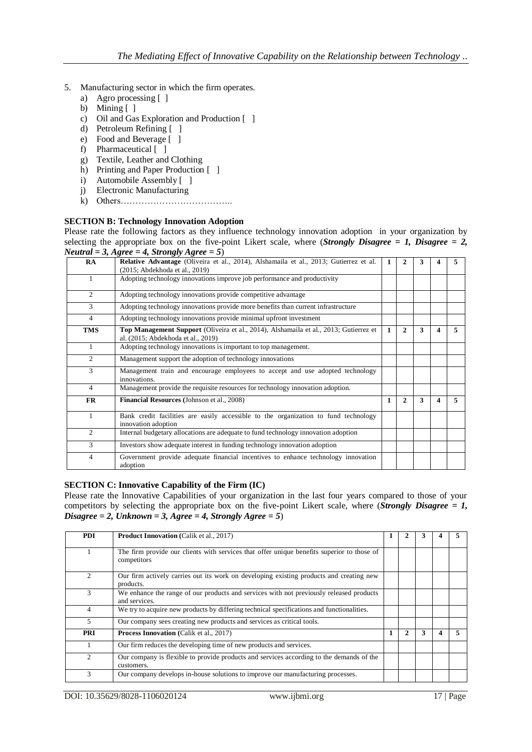- 5. Manufacturing sector in which the firm operates.
	- a) Agro processing [ ]
	- b) Mining  $[ ]$
	- c) Oil and Gas Exploration and Production [ ]
	- d) Petroleum Refining [ ]
	- e) Food and Beverage [ ]
	- f) Pharmaceutical [ ]
	- g) Textile, Leather and Clothing
	- h) Printing and Paper Production [ ]
	- i) Automobile Assembly [ ]
	- j) Electronic Manufacturing
	- k) Others………………………………..

#### **SECTION B: Technology Innovation Adoption**

Please rate the following factors as they influence technology innovation adoption in your organization by selecting the appropriate box on the five-point Likert scale, where *(Strongly Disagree = 1, Disagree = 2, Neutral = 3, Agree = 4, Strongly Agree = 5*)

| RA             | Relative Advantage (Oliveira et al., 2014), Alshamaila et al., 2013; Gutierrez et al.<br>(2015; Abdekhoda et al., 2019)     | 1 |              | 3 |   |    |
|----------------|-----------------------------------------------------------------------------------------------------------------------------|---|--------------|---|---|----|
| 1              | Adopting technology innovations improve job performance and productivity                                                    |   |              |   |   |    |
| $\overline{2}$ | Adopting technology innovations provide competitive advantage                                                               |   |              |   |   |    |
| 3              | Adopting technology innovations provide more benefits than current infrastructure                                           |   |              |   |   |    |
| $\overline{4}$ | Adopting technology innovations provide minimal upfront investment                                                          |   |              |   |   |    |
| TMS            | Top Management Support (Oliveira et al., 2014), Alshamaila et al., 2013; Gutierrez et<br>al. (2015; Abdekhoda et al., 2019) | 1 | 2            | 3 | 4 | 5. |
| 1              | Adopting technology innovations is important to top management.                                                             |   |              |   |   |    |
| $\overline{2}$ | Management support the adoption of technology innovations                                                                   |   |              |   |   |    |
| 3              | Management train and encourage employees to accept and use adopted technology<br>innovations.                               |   |              |   |   |    |
| $\overline{4}$ | Management provide the requisite resources for technology innovation adoption.                                              |   |              |   |   |    |
| <b>FR</b>      | Financial Resources (Johnson et al., 2008)                                                                                  | 1 | $\mathbf{2}$ | 3 | 4 | 5. |
| 1              | Bank credit facilities are easily accessible to the organization to fund technology<br>innovation adoption                  |   |              |   |   |    |
| 2              | Internal budgetary allocations are adequate to fund technology innovation adoption                                          |   |              |   |   |    |
| 3              | Investors show adequate interest in funding technology innovation adoption                                                  |   |              |   |   |    |
| $\overline{4}$ | Government provide adequate financial incentives to enhance technology innovation<br>adoption                               |   |              |   |   |    |

#### **SECTION C: Innovative Capability of the Firm (IC)**

Please rate the Innovative Capabilities of your organization in the last four years compared to those of your competitors by selecting the appropriate box on the five-point Likert scale, where (*Strongly Disagree = 1, Disagree = 2, Unknown = 3, Agree = 4, Strongly Agree = 5*)

| <b>PDI</b>     | <b>Product Innovation</b> (Calik et al., 2017)                                                            | 1 |              | 3 |   |  |
|----------------|-----------------------------------------------------------------------------------------------------------|---|--------------|---|---|--|
|                | The firm provide our clients with services that offer unique benefits superior to those of<br>competitors |   |              |   |   |  |
| 2              | Our firm actively carries out its work on developing existing products and creating new<br>products.      |   |              |   |   |  |
| 3              | We enhance the range of our products and services with not previously released products<br>and services.  |   |              |   |   |  |
| 4              | We try to acquire new products by differing technical specifications and functionalities.                 |   |              |   |   |  |
| 5              | Our company sees creating new products and services as critical tools.                                    |   |              |   |   |  |
| <b>PRI</b>     | <b>Process Innovation</b> (Calik et al., 2017)                                                            | 1 | $\mathbf{2}$ | 3 | Δ |  |
|                | Our firm reduces the developing time of new products and services.                                        |   |              |   |   |  |
| $\mathfrak{D}$ | Our company is flexible to provide products and services according to the demands of the<br>customers.    |   |              |   |   |  |
| 3              | Our company develops in-house solutions to improve our manufacturing processes.                           |   |              |   |   |  |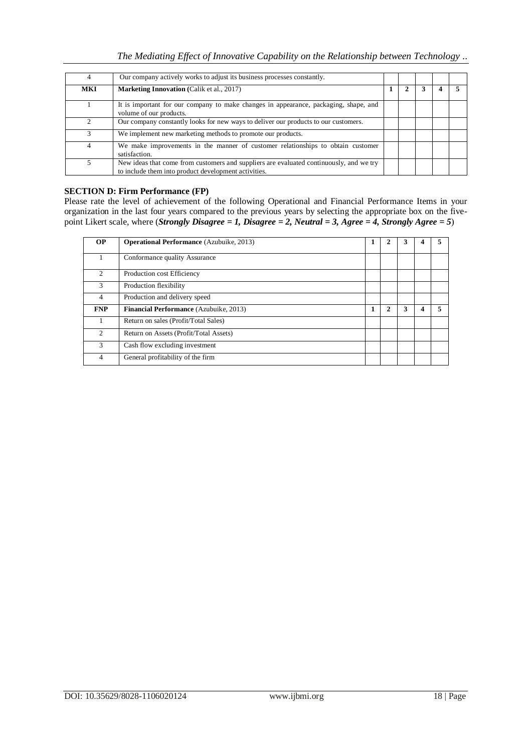| 4   | Our company actively works to adjust its business processes constantly.                                                                         |  |  |  |
|-----|-------------------------------------------------------------------------------------------------------------------------------------------------|--|--|--|
| MKI | <b>Marketing Innovation</b> (Calik et al., 2017)                                                                                                |  |  |  |
|     | It is important for our company to make changes in appearance, packaging, shape, and<br>volume of our products.                                 |  |  |  |
|     | Our company constantly looks for new ways to deliver our products to our customers.                                                             |  |  |  |
|     | We implement new marketing methods to promote our products.                                                                                     |  |  |  |
| 4   | We make improvements in the manner of customer relationships to obtain customer<br>satisfaction.                                                |  |  |  |
|     | New ideas that come from customers and suppliers are evaluated continuously, and we try<br>to include them into product development activities. |  |  |  |

## **SECTION D: Firm Performance (FP)**

Please rate the level of achievement of the following Operational and Financial Performance Items in your organization in the last four years compared to the previous years by selecting the appropriate box on the fivepoint Likert scale, where (*Strongly Disagree = 1, Disagree = 2, Neutral = 3, Agree = 4, Strongly Agree = 5*)

| <b>OP</b>                | <b>Operational Performance</b> (Azubuike, 2013) |   |   |  |
|--------------------------|-------------------------------------------------|---|---|--|
|                          | Conformance quality Assurance                   |   |   |  |
| $\mathfrak{D}$           | Production cost Efficiency                      |   |   |  |
| 3                        | Production flexibility                          |   |   |  |
| $\overline{\mathcal{L}}$ | Production and delivery speed                   |   |   |  |
| <b>FNP</b>               | <b>Financial Performance</b> (Azubuike, 2013)   | 2 | 3 |  |
|                          | Return on sales (Profit/Total Sales)            |   |   |  |
| $\mathcal{D}$            | Return on Assets (Profit/Total Assets)          |   |   |  |
| 3                        | Cash flow excluding investment                  |   |   |  |
| 4                        | General profitability of the firm               |   |   |  |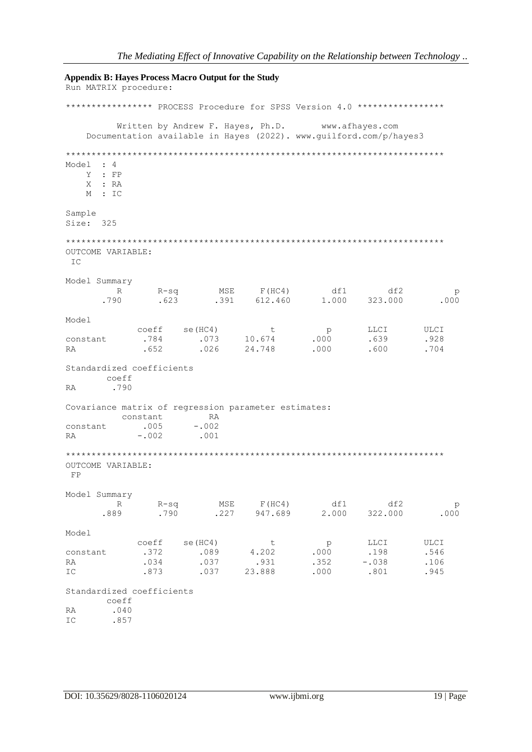**Appendix B: Haves Process Macro Output for the Study** Run MATRIX procedure: \*\*\*\*\*\*\*\*\*\*\*\*\*\*\*\*\* PROCESS Procedure for SPSS Version 4.0 \*\*\*\*\*\*\*\*\*\*\*\*\*\*\*\*\* www.afhayes.com Written by Andrew F. Hayes, Ph.D. Documentation available in Hayes (2022). www.guilford.com/p/hayes3 Model : 4 Y : FP X : RA  $M \cdot TC$ Sample Size: 325 OUTCOME VARIABLE: IC Model Summary R-sq MSE F(HC4) df1 df2<br>.623 .391 612.460 1.000 323.000  $R$  $\mathcal{D}$ .790  $.000$ Model coeff se (HC4)  $t$  $p$  $rac{4}{000}$ LLCI  $TIT.C.T$  $10.674$ .073 .639 constant .784  $928$  $.026$ 24.748  $.000$  $.600$ .704 **RA**  $.652$ Standardized coefficients coeff .790 **RA** Covariance matrix of regression parameter estimates: constant RA  $.005$  $-.002$ constant  $-.002$  $.001$ **RA** OUTCOME VARIABLE: FP Model Summary R-sq MSE F(HC4) df1 df2<br>.790 .227 947.689 2.000 322.000  $R$  $R-Sq$  $\mathcal{D}$ .889 .000 Model  $coeff$  se(HC4) LLCI ULCI  $t$  $p$ 00 coeff<br>372 .089<br>027  $4.202$ .198 .546  $.000$ constant  $.037$ .931  $.352$  $-.038$ RA  $.034$ .106 23.888 .873  $.037$  $.000$ .801 .945  $TC$ Standardized coefficients coeff  $.040$ RA  $.857$  $TC$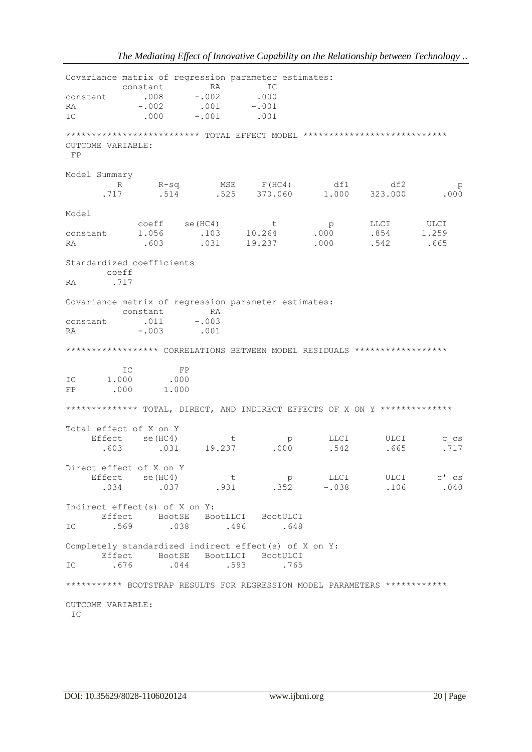Covariance matrix of regression parameter estimates: constant RA IC  $-.002$ <br> $.001$  $.000$  $.008$ constant  $-.002$  $-0.001$ RA .000  $.001$  $-.001$ IC \*\*\*\*\*\*\*\*\*\*\*\*\*\*\*\*\*\*\*\*\*\*\*\*\* TOTAL EFFECT MODEL \*\*\*\*\*\*\*\*\*\*\*\*\*\*\*\*\*\*\*\*\*\*\*\*\*\*\*\*\* OUTCOME VARIABLE: FP Model Summary R-sq MSE F(HC4) df1 df2<br>514 .525 370.060 1.000 323.000  $R$  $\mathcal{D}$  $.000$  $.717$ Model  $01259$  $coeff$   $se(HC4)$ LLCI .854 constant 1.056 .603 .542 RA .665 Standardized coefficients coeff .717  $D \wedge$ Covariance matrix of regression parameter estimates: constant RA constant .011  $-.003$ **RA**  $-.003$  $.001$ \*\*\*\*\*\*\*\*\*\*\*\*\*\*\*\*\*\* CORRELATIONS BETWEEN MODEL RESIDUALS \*\*\*\*\*\*\*\*\*\*\*\*\*\*\*\*\*\*\*  $\overline{\text{IC}}$  $\rm FP$  $.000$ 1,000  $TC$  $.000$ FP 1.000 \*\*\*\*\*\*\*\*\*\*\*\*\*\* TOTAL, DIRECT, AND INDIRECT EFFECTS OF X ON Y \*\*\*\*\*\*\*\*\*\*\*\*\*\* Total effect of X on Y Effect se(HC4) LLCI ULCI  $+$ C CS  $\alpha$  $.000$ 19.237 .603 .031 .542 .665  $.717$ Direct effect of X on Y Effect Se (HC4) ULCI  $C^{\dagger}$   $\_{CS}$  $t$  p<br>.931 .352 LLCI .037  $-.038$ .106  $.034$  $\overline{0}40$ Indirect effect(s) of X on Y: Effect BootSE BootLLCI BootULCI  $.648$ IC. .569  $.038$ .496 Completely standardized indirect effect(s) of X on Y: Effect BootSE BootLLCI BootULCI .676  $.044$ .593  $TC$ .765 \*\*\*\*\*\*\*\*\*\*\* BOOTSTRAP RESULTS FOR REGRESSION MODEL PARAMETERS \*\*\*\*\*\*\*\*\*\*\*\*\* OUTCOME VARIABLE: IC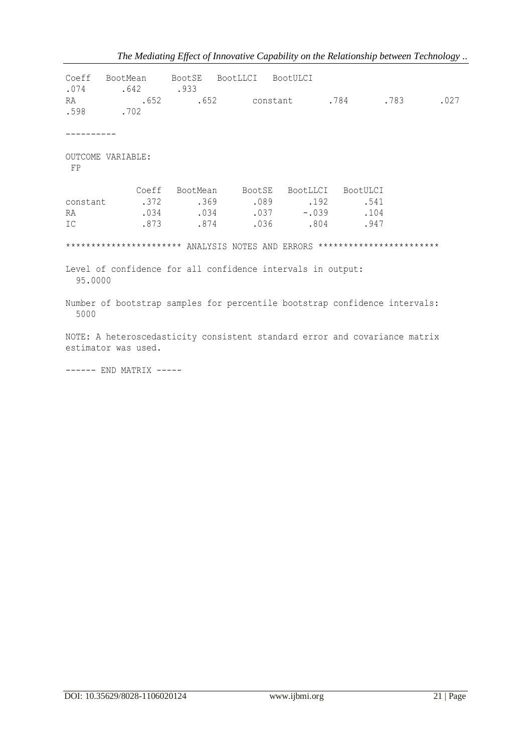| RA       | Coeff BootMean BootSE BootLLCI BootULCI<br>$.074$ $.642$ $.933$<br>.652 .652 constant .784 .783 .027<br>$.598$ . 702 |                                                                                                            |  |  |
|----------|----------------------------------------------------------------------------------------------------------------------|------------------------------------------------------------------------------------------------------------|--|--|
|          |                                                                                                                      |                                                                                                            |  |  |
| FP       | OUTCOME VARIABLE:                                                                                                    |                                                                                                            |  |  |
| RA<br>IC |                                                                                                                      | Coeff BootMean BootSE BootLLCI BootULCI<br>$.034$ $.034$ $.037$ $-.039$ $.104$<br>.873 .874 .036 .804 .947 |  |  |
|          | ********************** ANALYSIS NOTES AND ERRORS ************************                                            |                                                                                                            |  |  |
| 95.0000  | Level of confidence for all confidence intervals in output:                                                          |                                                                                                            |  |  |
| 5000     | Number of bootstrap samples for percentile bootstrap confidence intervals:                                           |                                                                                                            |  |  |
|          | NOTE: A heteroscedasticity consistent standard error and covariance matrix<br>estimator was used.                    |                                                                                                            |  |  |

*The Mediating Effect of Innovative Capability on the Relationship between Technology ..*

------ END MATRIX -----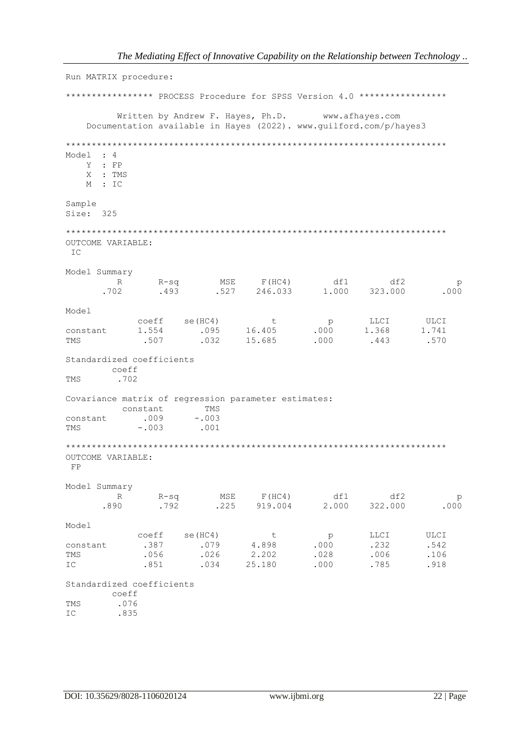Run MATRIX procedure: \*\*\*\*\*\*\*\*\*\*\*\*\*\*\*\*\* PROCESS Procedure for SPSS Version 4.0 \*\*\*\*\*\*\*\*\*\*\*\*\*\*\*\*\* Written by Andrew F. Hayes, Ph.D. www.afhaves.com Documentation available in Hayes (2022). www.guilford.com/p/hayes3 Model : 4 Y : FP X : TMS  $M : IC$ Sample Size: 325 OUTCOME VARIABLE: IC Model Summary  $R$ MSE F(HC4) df1 df2<br>.527 246.033 1.000 323.000  $R-Sq$  MSE p  $.493$  $.702$  $.000$ Model  $\begin{array}{ccc}\n & & & \text{LLCI} \\
.000 & & 1.368 \\
.000 & & & \n\end{array}$ ULCI<br>1.741 coeff se (HC4)  $t$  $\overset{\text{p}}{0}$  . 1.554 constant .507 .443 **TMS** Standardized coefficients coeff TMS .702 Covariance matrix of regression parameter estimates: constant TMS  $.009$  $-003$ constant **TMS**  $-.003$ .001 OUTCOME VARIABLE:  $FP$ Model Summary MSE F(HC4) df1 df2<br>.225 919.004 2.000 322.000  $R-Sq$  $R$  $\mathcal{D}$ .890 .792 .000 Model  $se(HC4)$  $p$ coeff coeff se(HC4) t p<br>
.387 .079 4.898 .000<br>
.056 .026 2.202 .028<br>
.851 .034 25.180 .000  $\mathbf{t}$ LLCI **ULCT** .542 constant  $.232$ **TMS**  $.006$ .106 .785 IC .918 Standardized coefficients coeff .076<br>.835 **TMS** IC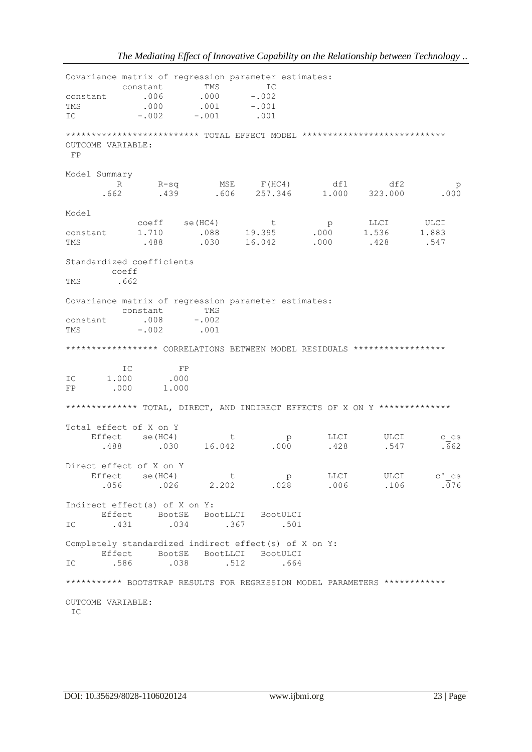| constant<br>TMS<br>IC               | constant                 | $.006$ $.000$ $-.002$<br>$.000$ $.001$ $-.001$<br>$-0.002$ $-0.001$ $0.001$ | TMS                            | Covariance matrix of regression parameter estimates:<br>IC                |                                                                                     |                                  |                            |
|-------------------------------------|--------------------------|-----------------------------------------------------------------------------|--------------------------------|---------------------------------------------------------------------------|-------------------------------------------------------------------------------------|----------------------------------|----------------------------|
| OUTCOME VARIABLE:<br>$F$ P          |                          |                                                                             |                                |                                                                           | ************************** TOTAL EFFECT MODEL ****************************          |                                  |                            |
| Model Summary<br>.662               | R                        |                                                                             |                                |                                                                           | R-sq MSE F(HC4) df1 df2<br>.439 .606 257.346 1.000 323.000<br>df1                   |                                  | P<br>.000                  |
| Model<br>constant<br>TMS            | 1.710                    | coeff se(HC4)<br>.488                                                       |                                | $\mathbf{t}$<br>.088 19.395<br>.030 16.042                                | p<br>.000<br>.000                                                                   | LLCI ULCI<br>1.536 1.883<br>.428 | .547                       |
| Standardized coefficients<br>TMS    | coeff<br>.662            |                                                                             |                                |                                                                           |                                                                                     |                                  |                            |
| constant .008 -.002<br>TMS          | constant                 | $-.002$ .001                                                                | TMS                            | Covariance matrix of regression parameter estimates:                      | ***************** CORRELATIONS BETWEEN MODEL RESIDUALS ******************           |                                  |                            |
| IC<br>FP                            | IC<br>1.000 .000<br>.000 | FP<br>1.000                                                                 |                                |                                                                           |                                                                                     |                                  |                            |
| Total effect of X on Y<br>.488      | Effect se(HC4)           | .030                                                                        | t<br>16.042                    | p<br>.000                                                                 | ************** TOTAL, DIRECT, AND INDIRECT EFFECTS OF X ON Y **************<br>.428 | LLCI ULCI<br>.547                | C CS<br>.662               |
| Direct effect of X on Y<br>Effect   | se (HC4)<br>.056         |                                                                             | $\overline{t}$<br>$.026$ 2.202 | $p \sim$                                                                  | LLCI<br>$.028$ $.006$                                                               | ULCI<br>.106                     | $C^{\dagger}$ $CS$<br>.076 |
| Indirect effect(s) of X on Y:<br>IC | .431                     | .034                                                                        |                                | Effect BootSE BootLLCI BootULCI<br>.367<br>.501                           |                                                                                     |                                  |                            |
| IC                                  | Effect<br>.586           | BootSE<br>.038                                                              | BootLLCI<br>.512               | Completely standardized indirect effect(s) of X on Y:<br>BootULCI<br>.664 |                                                                                     |                                  |                            |
|                                     |                          |                                                                             |                                |                                                                           | *********** BOOTSTRAP RESULTS FOR REGRESSION MODEL PARAMETERS ************          |                                  |                            |
| OUTCOME VARIABLE:<br>IC             |                          |                                                                             |                                |                                                                           |                                                                                     |                                  |                            |